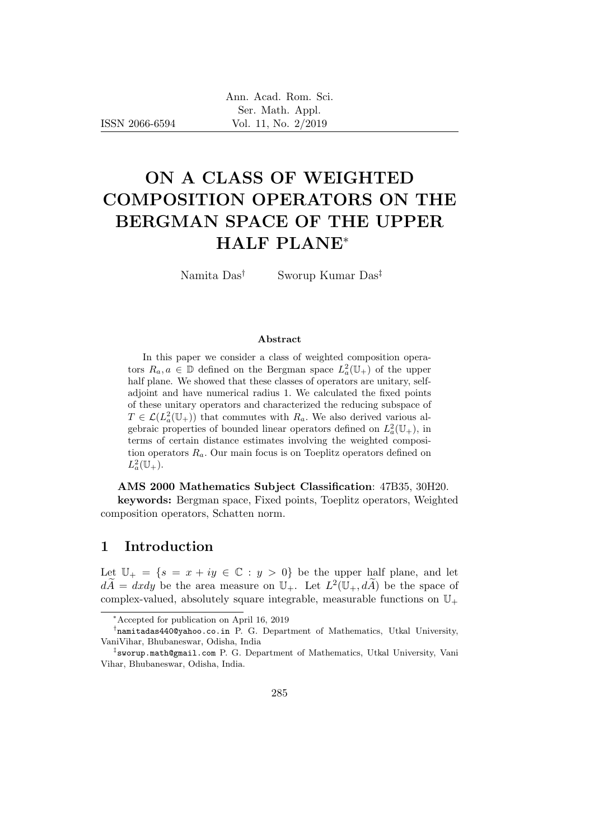ISSN 2066-6594

# ON A CLASS OF WEIGHTED COMPOSITION OPERATORS ON THE BERGMAN SPACE OF THE UPPER HALF PLANE<sup>∗</sup>

Namita Das† Sworup Kumar Das‡

#### Abstract

In this paper we consider a class of weighted composition operators  $R_a, a \in \mathbb{D}$  defined on the Bergman space  $L^2_a(\mathbb{U}_+)$  of the upper half plane. We showed that these classes of operators are unitary, selfadjoint and have numerical radius 1. We calculated the fixed points of these unitary operators and characterized the reducing subspace of  $T \in \mathcal{L}(L_a^2(\mathbb{U}_+))$  that commutes with  $R_a$ . We also derived various algebraic properties of bounded linear operators defined on  $L^2_a(\mathbb{U}_+)$ , in terms of certain distance estimates involving the weighted composition operators  $R_a$ . Our main focus is on Toeplitz operators defined on  $L^2_a(\mathbb{U}_+).$ 

AMS 2000 Mathematics Subject Classification: 47B35, 30H20.

keywords: Bergman space, Fixed points, Toeplitz operators, Weighted composition operators, Schatten norm.

### 1 Introduction

Let  $\mathbb{U}_+ = \{s = x + iy \in \mathbb{C} : y > 0\}$  be the upper half plane, and let  $d\widetilde{A} = dxdy$  be the area measure on  $\mathbb{U}_+$ . Let  $L^2(\mathbb{U}_+, d\widetilde{A})$  be the space of complex-valued, absolutely square integrable, measurable functions on  $\mathbb{U}_+$ 

<sup>∗</sup>Accepted for publication on April 16, 2019

<sup>†</sup> namitadas440@yahoo.co.in P. G. Department of Mathematics, Utkal University, VaniVihar, Bhubaneswar, Odisha, India

<sup>‡</sup> sworup.math@gmail.com P. G. Department of Mathematics, Utkal University, Vani Vihar, Bhubaneswar, Odisha, India.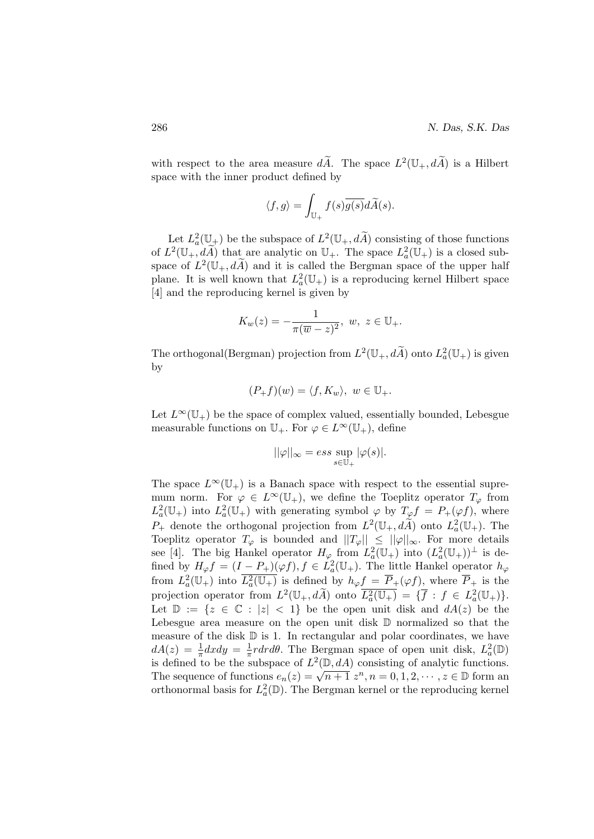with respect to the area measure  $d\tilde{A}$ . The space  $L^2(\mathbb{U}_+, d\tilde{A})$  is a Hilbert space with the inner product defined by

$$
\langle f, g \rangle = \int_{\mathbb{U}_+} f(s) \overline{g(s)} d\widetilde{A}(s).
$$

Let  $L^2_a(\mathbb{U}_+)$  be the subspace of  $L^2(\mathbb{U}_+, d\widetilde{A})$  consisting of those functions of  $L^2(\mathbb{U}_+, d\widetilde{A})$  that are analytic on  $\mathbb{U}_+$ . The space  $L^2_a(\mathbb{U}_+)$  is a closed subspace of  $L^2(\mathbb{U}_+, d\widetilde{A})$  and it is called the Bergman space of the upper half plane. It is well known that  $L^2_a(\mathbb{U}_+)$  is a reproducing kernel Hilbert space [4] and the reproducing kernel is given by

$$
K_w(z) = -\frac{1}{\pi(\overline{w} - z)^2}, \ w, \ z \in \mathbb{U}_+.
$$

The orthogonal (Bergman) projection from  $L^2(\mathbb{U}_+, d\widetilde{A})$  onto  $L^2_a(\mathbb{U}_+)$  is given by

$$
(P_+f)(w) = \langle f, K_w \rangle, \ w \in \mathbb{U}_+.
$$

Let  $L^{\infty}(\mathbb{U}_{+})$  be the space of complex valued, essentially bounded, Lebesgue measurable functions on  $\mathbb{U}_+$ . For  $\varphi \in L^{\infty}(\mathbb{U}_+)$ , define

$$
||\varphi||_{\infty} = ess \sup_{s \in \mathbb{U}_+} |\varphi(s)|.
$$

The space  $L^{\infty}(\mathbb{U}_{+})$  is a Banach space with respect to the essential supremum norm. For  $\varphi \in L^{\infty}(\mathbb{U}_{+}),$  we define the Toeplitz operator  $T_{\varphi}$  from  $L^2_a(\mathbb{U}_+)$  into  $L^2_a(\mathbb{U}_+)$  with generating symbol  $\varphi$  by  $T_\varphi f = P_+(\varphi f)$ , where  $P_+$  denote the orthogonal projection from  $L^2(\mathbb{U}_+, d\widetilde{A})$  onto  $L^2_a(\mathbb{U}_+)$ . The Toeplitz operator  $T_{\varphi}$  is bounded and  $||T_{\varphi}|| \leq ||\varphi||_{\infty}$ . For more details see [4]. The big Hankel operator  $H_{\varphi}$  from  $L^2_a(\mathbb{U}_+)$  into  $(L^2_a(\mathbb{U}_+))^{\perp}$  is defined by  $H_{\varphi}f = (I - P_{+})(\varphi f), f \in L^{2}_{a}(\mathbb{U}_{+}).$  The little Hankel operator  $h_{\varphi}$ from  $L^2_a(\mathbb{U}_+)$  into  $\overline{L^2_a(\mathbb{U}_+)}$  is defined by  $h_{\varphi}f = \overline{P}_+(\varphi f)$ , where  $\overline{P}_+$  is the projection operator from  $L^2(\mathbb{U}_+, d\widetilde{A})$  onto  $\overline{L_a^2(\mathbb{U}_+)} = {\{\overline{f} : f \in L_a^2(\mathbb{U}_+)\}}$ . Let  $\mathbb{D} := \{z \in \mathbb{C} : |z| < 1\}$  be the open unit disk and  $dA(z)$  be the Lebesgue area measure on the open unit disk D normalized so that the measure of the disk  $D$  is 1. In rectangular and polar coordinates, we have  $dA(z) = \frac{1}{\pi}dxdy = \frac{1}{\pi}$  $\frac{1}{\pi} r dr d\theta$ . The Bergman space of open unit disk,  $L^2_a(\mathbb{D})$ is defined to be the subspace of  $L^2(\mathbb{D}, dA)$  consisting of analytic functions. The sequence of functions  $e_n(z) = \sqrt{n+1} z^n$ ,  $n = 0, 1, 2, \dots, z \in \mathbb{D}$  form an orthonormal basis for  $L^2_a(\mathbb{D})$ . The Bergman kernel or the reproducing kernel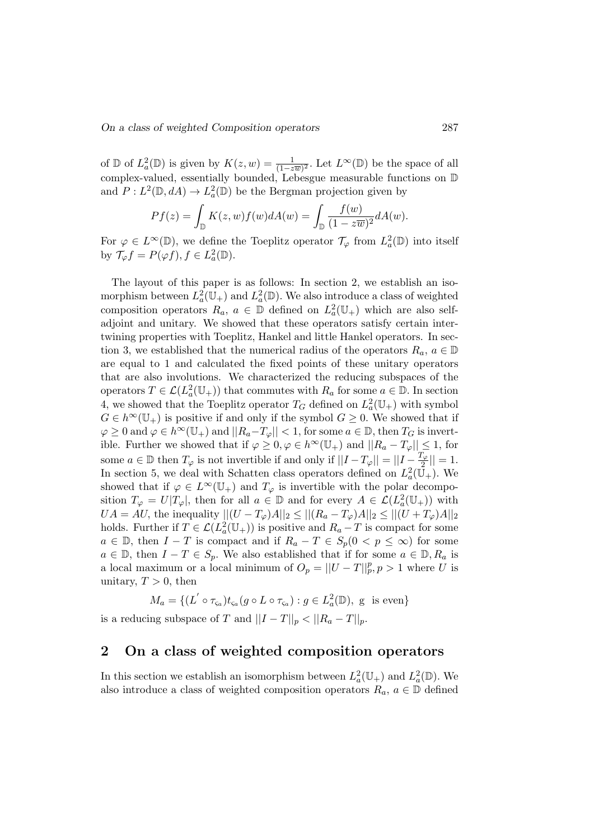of  $\mathbb{D}$  of  $L^2_a(\mathbb{D})$  is given by  $K(z,w)=\frac{1}{(1-z\overline{w})^2}$ . Let  $L^{\infty}(\mathbb{D})$  be the space of all complex-valued, essentially bounded, Lebesgue measurable functions on D and  $P: L^2(\mathbb{D}, dA) \to L^2_a(\mathbb{D})$  be the Bergman projection given by

$$
Pf(z) = \int_{\mathbb{D}} K(z, w) f(w) dA(w) = \int_{\mathbb{D}} \frac{f(w)}{(1 - z\overline{w})^2} dA(w).
$$

For  $\varphi \in L^{\infty}(\mathbb{D})$ , we define the Toeplitz operator  $\mathcal{T}_{\varphi}$  from  $L^2_a(\mathbb{D})$  into itself by  $\mathcal{T}_{\varphi}f = P(\varphi f), f \in L^2_a(\mathbb{D}).$ 

The layout of this paper is as follows: In section 2, we establish an isomorphism between  $L^2_a(\mathbb{U}_+)$  and  $L^2_a(\mathbb{D})$ . We also introduce a class of weighted composition operators  $R_a, a \in \mathbb{D}$  defined on  $L^2_a(\mathbb{U}_+)$  which are also selfadjoint and unitary. We showed that these operators satisfy certain intertwining properties with Toeplitz, Hankel and little Hankel operators. In section 3, we established that the numerical radius of the operators  $R_a, a \in \mathbb{D}$ are equal to 1 and calculated the fixed points of these unitary operators that are also involutions. We characterized the reducing subspaces of the operators  $T \in \mathcal{L}(L_a^2(\mathbb{U}_+))$  that commutes with  $R_a$  for some  $a \in \mathbb{D}$ . In section 4, we showed that the Toeplitz operator  $T_G$  defined on  $L^2_a(\mathbb{U}_+)$  with symbol  $G \in h^{\infty}(\mathbb{U}_{+})$  is positive if and only if the symbol  $G \geq 0$ . We showed that if  $\varphi \geq 0$  and  $\varphi \in h^{\infty}(\mathbb{U}_{+})$  and  $||R_{a}-T_{\varphi}|| < 1$ , for some  $a \in \mathbb{D}$ , then  $T_G$  is invertible. Further we showed that if  $\varphi \geq 0, \varphi \in h^{\infty}(\mathbb{U}_{+})$  and  $||R_{a}-T_{\varphi}|| \leq 1$ , for some  $a \in \mathbb{D}$  then  $T_{\varphi}$  is not invertible if and only if  $||I - T_{\varphi}|| = ||I - \frac{T_{\varphi}}{2}||$  $\frac{1}{2}$ || = 1. In section 5, we deal with Schatten class operators defined on  $L^2_a(\mathbb{\tilde{U}}_+)$ . We showed that if  $\varphi \in L^{\infty}(\mathbb{U}_{+})$  and  $T_{\varphi}$  is invertible with the polar decomposition  $T_{\varphi} = U|T_{\varphi}|$ , then for all  $a \in \mathbb{D}$  and for every  $A \in \mathcal{L}(L_a^2(\mathbb{U}_+))$  with  $UA = AU$ , the inequality  $||(U - T_{\varphi})A||_2 \leq ||(R_a - T_{\varphi})A||_2 \leq ||(U + T_{\varphi})A||_2$ holds. Further if  $T \in \mathcal{L}(L_a^2(\mathbb{U}_+))$  is positive and  $R_a - T$  is compact for some  $a \in \mathbb{D}$ , then  $I - T$  is compact and if  $R_a - T \in S_p(0 \lt p \leq \infty)$  for some  $a \in \mathbb{D}$ , then  $I - T \in S_p$ . We also established that if for some  $a \in \mathbb{D}$ ,  $R_a$  is a local maximum or a local minimum of  $O_p = ||U - T||_p^p, p > 1$  where U is unitary,  $T > 0$ , then

 $M_a = \{ (L' \circ \tau_{\varsigma_a}) t_{\varsigma_a}(g \circ L \circ \tau_{\varsigma_a}) : g \in L^2_a(\mathbb{D}), \text{ g is even} \}$ is a reducing subspace of T and  $||I - T||_p < ||R_a - T||_p$ .

# 2 On a class of weighted composition operators

In this section we establish an isomorphism between  $L^2_a(\mathbb{U}_+)$  and  $L^2_a(\mathbb{D})$ . We also introduce a class of weighted composition operators  $R_a, a \in \mathbb{D}$  defined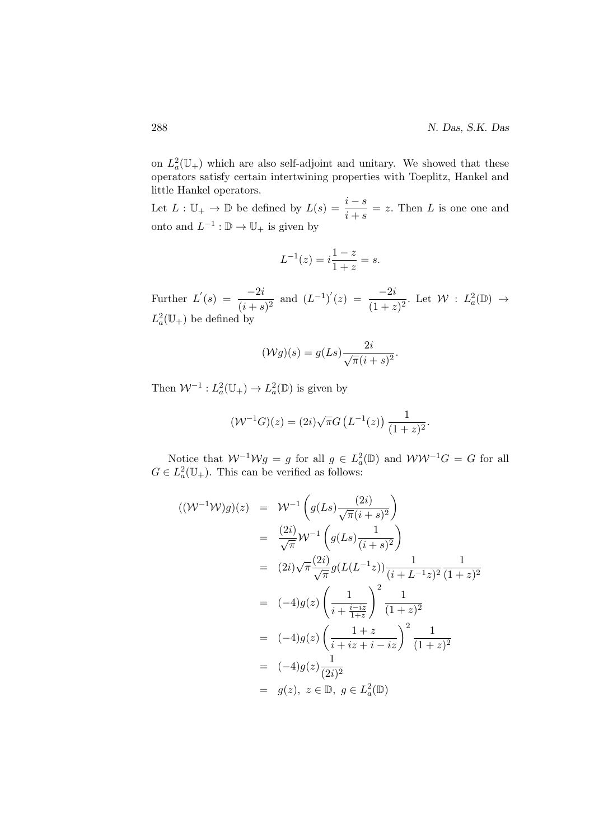on  $L^2_a(\mathbb{U}_+)$  which are also self-adjoint and unitary. We showed that these operators satisfy certain intertwining properties with Toeplitz, Hankel and little Hankel operators.

Let  $L: \mathbb{U}_+ \to \mathbb{D}$  be defined by  $L(s) = \frac{i - s}{i + s} = z$ . Then L is one one and onto and  $L^{-1}: \mathbb{D} \to \mathbb{U}_+$  is given by

$$
L^{-1}(z) = i\frac{1-z}{1+z} = s.
$$

Further  $L'(s) = \frac{-2i}{(i+s)^2}$  and  $(L^{-1})'(z) = \frac{-2i}{(1+z)^2}$ . Let  $\mathcal{W} : L^2_a(\mathbb{D}) \to$  $L^2_a(\mathbb{U}_+)$  be defined by

$$
(\mathcal{W}g)(s) = g(Ls) \frac{2i}{\sqrt{\pi}(i+s)^2}.
$$

Then  $W^{-1}: L^2_a(\mathbb{U}_+) \to L^2_a(\mathbb{D})$  is given by

$$
(\mathcal{W}^{-1}G)(z) = (2i)\sqrt{\pi}G\left(L^{-1}(z)\right)\frac{1}{(1+z)^2}.
$$

Notice that  $W^{-1}Wg = g$  for all  $g \in L^2_a(\mathbb{D})$  and  $WW^{-1}G = G$  for all  $G \in L^2_a(\mathbb{U}_+)$ . This can be verified as follows:

$$
((\mathcal{W}^{-1}\mathcal{W})g)(z) = \mathcal{W}^{-1}\left(g(Ls)\frac{(2i)}{\sqrt{\pi}(i+s)^2}\right)
$$
  
\n
$$
= \frac{(2i)}{\sqrt{\pi}}\mathcal{W}^{-1}\left(g(Ls)\frac{1}{(i+s)^2}\right)
$$
  
\n
$$
= (2i)\sqrt{\pi}\frac{(2i)}{\sqrt{\pi}}g(L(L^{-1}z))\frac{1}{(i+L^{-1}z)^2}\frac{1}{(1+z)^2}
$$
  
\n
$$
= (-4)g(z)\left(\frac{1}{i+\frac{i-i z}{1+z}}\right)^2\frac{1}{(1+z)^2}
$$
  
\n
$$
= (-4)g(z)\left(\frac{1+z}{i+i z+i-iz}\right)^2\frac{1}{(1+z)^2}
$$
  
\n
$$
= (-4)g(z)\frac{1}{(2i)^2}
$$
  
\n
$$
= g(z), z \in \mathbb{D}, g \in L_a^2(\mathbb{D})
$$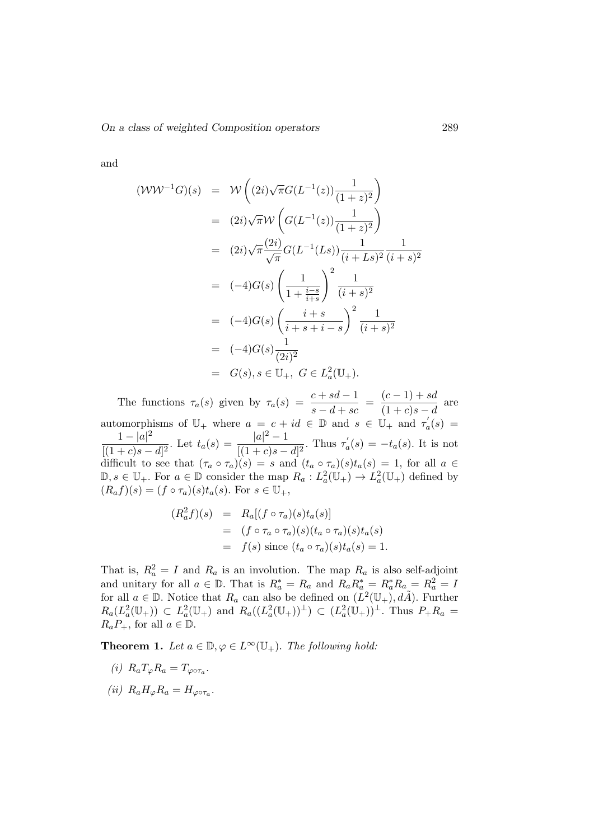and

$$
(\mathcal{W}\mathcal{W}^{-1}G)(s) = \mathcal{W}\left((2i)\sqrt{\pi}G(L^{-1}(z))\frac{1}{(1+z)^2}\right)
$$
  
\n
$$
= (2i)\sqrt{\pi}\mathcal{W}\left(G(L^{-1}(z))\frac{1}{(1+z)^2}\right)
$$
  
\n
$$
= (2i)\sqrt{\pi}\frac{(2i)}{\sqrt{\pi}}G(L^{-1}(Ls))\frac{1}{(i+Ls)^2}\frac{1}{(i+s)^2}
$$
  
\n
$$
= (-4)G(s)\left(\frac{1}{1+\frac{i-s}{i+s}}\right)^2\frac{1}{(i+s)^2}
$$
  
\n
$$
= (-4)G(s)\left(\frac{i+s}{i+s+i-s}\right)^2\frac{1}{(i+s)^2}
$$
  
\n
$$
= (-4)G(s)\frac{1}{(2i)^2}
$$
  
\n
$$
= G(s), s \in \mathbb{U}_+, G \in L_a^2(\mathbb{U}_+).
$$

The functions  $\tau_a(s)$  given by  $\tau_a(s) = \frac{c + sd - 1}{s - d + sc} = \frac{(c - 1) + sd}{(1 + c)s - d}$  $\frac{(c-1)+cx}{(1+c)s-d}$  are automorphisms of  $\mathbb{U}_{+}$  where  $a = c + id \in \mathbb{D}$  and  $s \in \mathbb{U}_{+}$  and  $\tau_{a}'(s) =$  $1-|a|^2$  $\frac{1-|a|^2}{[(1+c)s-d]^2}$ . Let  $t_a(s) = \frac{|a|^2-1}{[(1+c)s-d]^2}$ .  $\frac{|a|^{2}-1}{[(1+c)s-d]^{2}}$ . Thus  $\tau'_{a}(s) = -t_{a}(s)$ . It is not difficult to see that  $(\tau_a \circ \tau_a)(s) = s$  and  $(t_a \circ \tau_a)(s)t_a(s) = 1$ , for all  $a \in$  $\mathbb{D}, s \in \mathbb{U}_+$ . For  $a \in \mathbb{D}$  consider the map  $R_a: L^2_a(\mathbb{U}_+) \to L^2_a(\mathbb{U}_+)$  defined by  $(R_a f)(s) = (f \circ \tau_a)(s) t_a(s)$ . For  $s \in \mathbb{U}_+,$ 

$$
(R_a^2 f)(s) = R_a[(f \circ \tau_a)(s)t_a(s)]
$$
  
= 
$$
(f \circ \tau_a \circ \tau_a)(s)(t_a \circ \tau_a)(s)t_a(s)
$$
  
= 
$$
f(s) \text{ since } (t_a \circ \tau_a)(s)t_a(s) = 1.
$$

That is,  $R_a^2 = I$  and  $R_a$  is an involution. The map  $R_a$  is also self-adjoint and unitary for all  $a \in \mathbb{D}$ . That is  $R_a^* = R_a$  and  $R_a R_a^* = R_a^* R_a = R_a^2 = I$ for all  $a \in \mathbb{D}$ . Notice that  $R_a$  can also be defined on  $(L^2(\mathbb{U}_+), d\tilde{A})$ . Further  $R_a(L_a^2(\mathbb{U}_+)) \subset L_a^2(\mathbb{U}_+)$  and  $R_a((L_a^2(\mathbb{U}_+))^{\perp}) \subset (L_a^2(\mathbb{U}_+))^{\perp}$ . Thus  $P_+R_a =$  $R_aP_+$ , for all  $a \in \mathbb{D}$ .

**Theorem 1.** Let  $a \in \mathbb{D}, \varphi \in L^{\infty}(\mathbb{U}_{+})$ . The following hold:

- (i)  $R_a T_\varphi R_a = T_{\varphi \circ \tau_a}$ .
- (ii)  $R_a H_\varphi R_a = H_{\varphi \circ \tau_a}$ .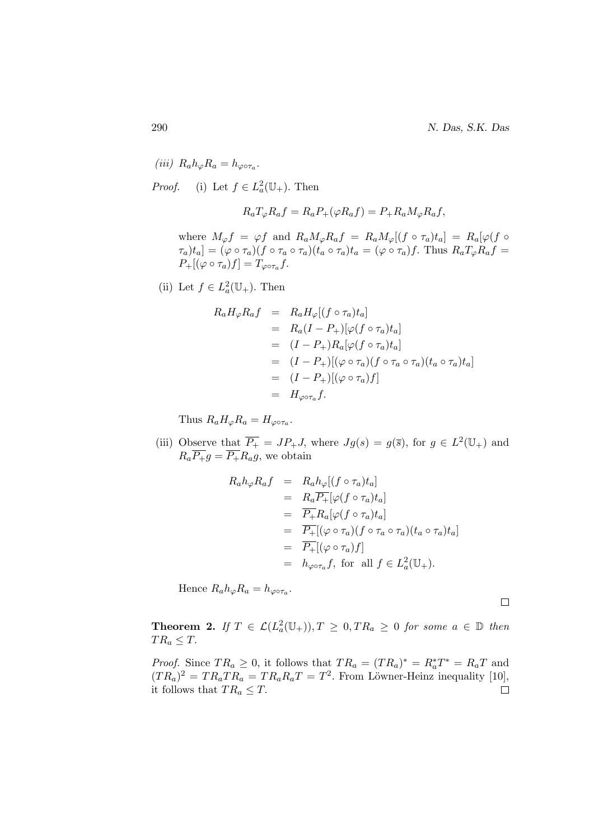290 N. Das, S.K. Das

(iii)  $R_a h_\varphi R_a = h_{\varphi \circ \tau_a}$ . *Proof.* (i) Let  $f \in L^2_a(\mathbb{U}_+)$ . Then

$$
R_a T_{\varphi} R_a f = R_a P_+(\varphi R_a f) = P_+ R_a M_{\varphi} R_a f,
$$

where  $M_{\varphi}f = \varphi f$  and  $R_a M_{\varphi} R_a f = R_a M_{\varphi} [(f \circ \tau_a) t_a] = R_a [\varphi(f \circ$  $\tau_a[t_a] = (\varphi \circ \tau_a)(f \circ \tau_a \circ \tau_a)(t_a \circ \tau_a)t_a = (\varphi \circ \tau_a)f$ . Thus  $R_aT_\varphi R_a f =$  $P_+[(\varphi \circ \tau_a)f] = T_{\varphi \circ \tau_a}f.$ 

(ii) Let  $f \in L^2_a(\mathbb{U}_+)$ . Then

$$
R_a H_{\varphi} R_a f = R_a H_{\varphi} [(f \circ \tau_a) t_a]
$$
  
=  $R_a (I - P_+)[\varphi (f \circ \tau_a) t_a]$   
=  $(I - P_+) R_a [\varphi (f \circ \tau_a) t_a]$   
=  $(I - P_+)[(\varphi \circ \tau_a) (f \circ \tau_a \circ \tau_a) (t_a \circ \tau_a) t_a]$   
=  $(I - P_+)[(\varphi \circ \tau_a) f]$   
=  $H_{\varphi \circ \tau_a} f.$ 

Thus  $R_a H_{\varphi} R_a = H_{\varphi \circ \tau_a}$ .

(iii) Observe that  $\overline{P_+} = JP_+J$ , where  $Jg(s) = g(\overline{s})$ , for  $g \in L^2(\mathbb{U}_+)$  and  $R_a\overline{P_+}g = \overline{P_+}R_a g$ , we obtain

$$
R_a h_{\varphi} R_a f = R_a h_{\varphi} [(f \circ \tau_a) t_a]
$$
  
\n
$$
= R_a \overline{P_+} [\varphi(f \circ \tau_a) t_a]
$$
  
\n
$$
= \overline{P_+} R_a [\varphi(f \circ \tau_a) t_a]
$$
  
\n
$$
= \overline{P_+} [(\varphi \circ \tau_a) (f \circ \tau_a \circ \tau_a) (t_a \circ \tau_a) t_a]
$$
  
\n
$$
= \overline{P_+} [(\varphi \circ \tau_a) f]
$$
  
\n
$$
= h_{\varphi \circ \tau_a} f, \text{ for all } f \in L_a^2(\mathbb{U}_+).
$$

Hence  $R_a h_{\varphi} R_a = h_{\varphi \circ \tau_a}$ .

 $\Box$ 

**Theorem 2.** If  $T \in \mathcal{L}(L_a^2(\mathbb{U}_+)), T \geq 0, TR_a \geq 0$  for some  $a \in \mathbb{D}$  then  $TR_a \leq T$ .

*Proof.* Since  $TR_a \geq 0$ , it follows that  $TR_a = (TR_a)^* = R_a^*T^* = R_aT$  and  $(T R_a)^2 = T R_a T R_a = T R_a R_a T = T^2$ . From Löwner-Heinz inequality [10], it follows that  $TR_a \leq T$ .  $\Box$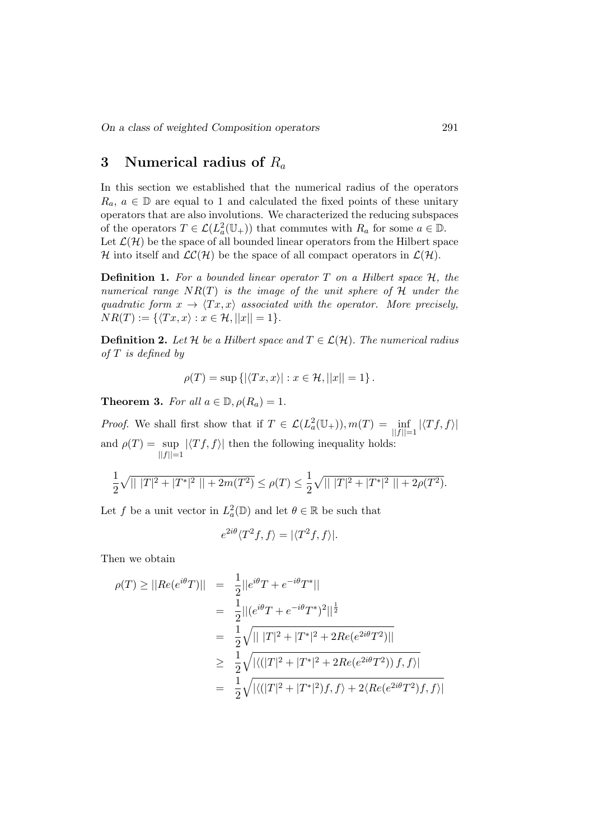# 3 Numerical radius of  $R_a$

In this section we established that the numerical radius of the operators  $R_a, a \in \mathbb{D}$  are equal to 1 and calculated the fixed points of these unitary operators that are also involutions. We characterized the reducing subspaces of the operators  $T \in \mathcal{L}(L^2_a(\mathbb{U}_+))$  that commutes with  $R_a$  for some  $a \in \mathbb{D}$ . Let  $\mathcal{L}(\mathcal{H})$  be the space of all bounded linear operators from the Hilbert space H into itself and  $LC(H)$  be the space of all compact operators in  $\mathcal{L}(\mathcal{H})$ .

**Definition 1.** For a bounded linear operator  $T$  on a Hilbert space  $H$ , the numerical range  $NR(T)$  is the image of the unit sphere of H under the quadratic form  $x \to \langle Tx, x \rangle$  associated with the operator. More precisely,  $NR(T) := \{ \langle Tx, x \rangle : x \in \mathcal{H}, ||x|| = 1 \}.$ 

**Definition 2.** Let H be a Hilbert space and  $T \in \mathcal{L}(\mathcal{H})$ . The numerical radius  $of T$  is defined by

$$
\rho(T) = \sup \left\{ |\langle Tx, x \rangle| : x \in \mathcal{H}, ||x|| = 1 \right\}.
$$

**Theorem 3.** For all  $a \in \mathbb{D}$ ,  $\rho(R_a) = 1$ .

*Proof.* We shall first show that if  $T \in \mathcal{L}(L_a^2(\mathbb{U}_+)), m(T) = \inf_{||f||=1} |\langle Tf, f \rangle|$ and  $\rho(T) = \sup$  $||f||=1$  $|\langle Tf, f \rangle|$  then the following inequality holds:

$$
\frac{1}{2}\sqrt{||T||^2+|T^*|^2||+2m(T^2)} \le \rho(T) \le \frac{1}{2}\sqrt{||T||^2+|T^*|^2||+2\rho(T^2)}.
$$

Let f be a unit vector in  $L^2_a(\mathbb{D})$  and let  $\theta \in \mathbb{R}$  be such that

$$
e^{2i\theta}\langle T^2f, f\rangle = |\langle T^2f, f\rangle|.
$$

Then we obtain

$$
\rho(T) \geq ||Re(e^{i\theta}T)|| = \frac{1}{2}||e^{i\theta}T + e^{-i\theta}T^*||
$$
  
\n
$$
= \frac{1}{2}||(e^{i\theta}T + e^{-i\theta}T^*)^2||^{\frac{1}{2}}
$$
  
\n
$$
= \frac{1}{2}\sqrt{|||T|^2 + |T^*|^2 + 2Re(e^{2i\theta}T^2)||}
$$
  
\n
$$
\geq \frac{1}{2}\sqrt{|\langle (|T|^2 + |T^*|^2 + 2Re(e^{2i\theta}T^2)) f, f \rangle|}
$$
  
\n
$$
= \frac{1}{2}\sqrt{|\langle (|T|^2 + |T^*|^2) f, f \rangle + 2\langle Re(e^{2i\theta}T^2) f, f \rangle|}
$$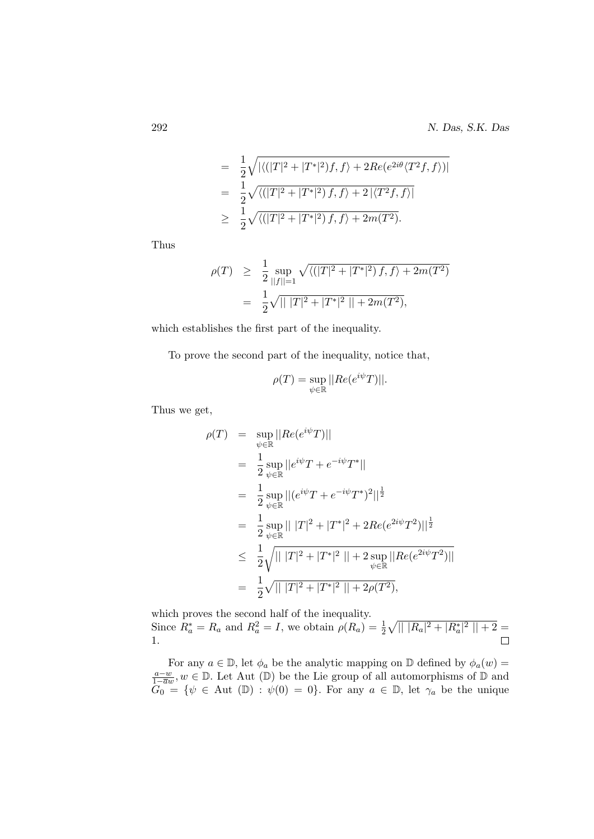$$
= \frac{1}{2}\sqrt{|\langle (|T|^2 + |T^*|^2)f, f \rangle + 2Re(e^{2i\theta}\langle T^2f, f \rangle)|}
$$
  
= 
$$
\frac{1}{2}\sqrt{\langle (|T|^2 + |T^*|^2)f, f \rangle + 2|\langle T^2f, f \rangle|}
$$
  

$$
\geq \frac{1}{2}\sqrt{\langle (|T|^2 + |T^*|^2)f, f \rangle + 2m(T^2)}.
$$

Thus

$$
\rho(T) \geq \frac{1}{2} \sup_{||f||=1} \sqrt{\langle (|T|^2 + |T^*|^2) f, f \rangle + 2m(T^2)}
$$
  
= 
$$
\frac{1}{2} \sqrt{|||T|^2 + |T^*|^2|| + 2m(T^2)},
$$

which establishes the first part of the inequality.

To prove the second part of the inequality, notice that,

$$
\rho(T) = \sup_{\psi \in \mathbb{R}} ||Re(e^{i\psi}T)||.
$$

Thus we get,

$$
\rho(T) = \sup_{\psi \in \mathbb{R}} ||Re(e^{i\psi}T)||
$$
  
\n
$$
= \frac{1}{2} \sup_{\psi \in \mathbb{R}} ||e^{i\psi}T + e^{-i\psi}T^*||
$$
  
\n
$$
= \frac{1}{2} \sup_{\psi \in \mathbb{R}} ||(e^{i\psi}T + e^{-i\psi}T^*)^2||^{\frac{1}{2}}
$$
  
\n
$$
= \frac{1}{2} \sup_{\psi \in \mathbb{R}} |||T|^2 + |T^*|^2 + 2Re(e^{2i\psi}T^2)||^{\frac{1}{2}}
$$
  
\n
$$
\leq \frac{1}{2} \sqrt{|||T|^2 + |T^*|^2 || + 2 \sup_{\psi \in \mathbb{R}} ||Re(e^{2i\psi}T^2)||}
$$
  
\n
$$
= \frac{1}{2} \sqrt{|||T|^2 + |T^*|^2 || + 2\rho(T^2)},
$$

which proves the second half of the inequality. Since  $R_a^* = R_a$  and  $R_a^2 = I$ , we obtain  $\rho(R_a) = \frac{1}{2} \sqrt{||R_a|^2 + |R_a^*|^2||+2} =$  $\Box$ 1.

For any  $a \in \mathbb{D}$ , let  $\phi_a$  be the analytic mapping on  $\mathbb{D}$  defined by  $\phi_a(w)$  = a−w  $\frac{a-w}{1-\overline{a}w}$ ,  $w \in \mathbb{D}$ . Let Aut ( $\mathbb{D}$ ) be the Lie group of all automorphisms of  $\mathbb{D}$  and  $G_0 = \{ \psi \in \text{Aut } (\mathbb{D}) : \psi(0) = 0 \}.$  For any  $a \in \mathbb{D}$ , let  $\gamma_a$  be the unique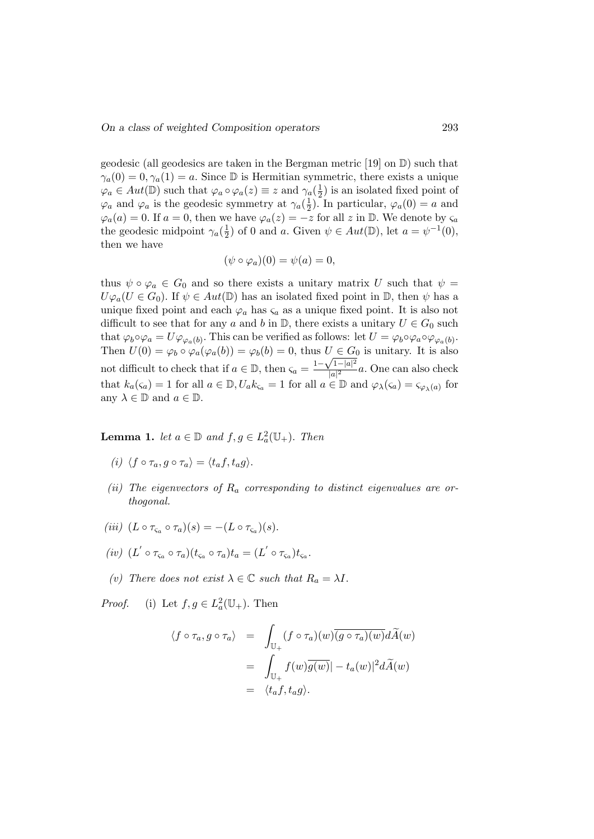geodesic (all geodesics are taken in the Bergman metric  $[19]$  on  $\mathbb{D}$ ) such that  $\gamma_a(0) = 0, \gamma_a(1) = a$ . Since D is Hermitian symmetric, there exists a unique  $\varphi_a \in Aut(\mathbb{D})$  such that  $\varphi_a \circ \varphi_a(z) \equiv z$  and  $\gamma_a(\frac{1}{2})$  $(\frac{1}{2})$  is an isolated fixed point of  $\varphi_a$  and  $\varphi_a$  is the geodesic symmetry at  $\gamma_a(\frac{1}{2})$  $(\frac{1}{2})$ . In particular,  $\varphi_a(0) = a$  and  $\varphi_a(a) = 0$ . If  $a = 0$ , then we have  $\varphi_a(z) = -z$  for all z in D. We denote by  $\varsigma_a$ the geodesic midpoint  $\gamma_a(\frac{1}{2})$  $\frac{1}{2}$  of 0 and a. Given  $\psi \in Aut(\mathbb{D})$ , let  $a = \psi^{-1}(0)$ , then we have

$$
(\psi \circ \varphi_a)(0) = \psi(a) = 0,
$$

thus  $\psi \circ \varphi_a \in G_0$  and so there exists a unitary matrix U such that  $\psi =$  $U\varphi_a(U \in G_0)$ . If  $\psi \in Aut(\mathbb{D})$  has an isolated fixed point in  $\mathbb{D}$ , then  $\psi$  has a unique fixed point and each  $\varphi_a$  has  $\varsigma_a$  as a unique fixed point. It is also not difficult to see that for any a and b in  $\mathbb{D}$ , there exists a unitary  $U \in G_0$  such that  $\varphi_b \circ \varphi_a = U \varphi_{\varphi_a(b)}$ . This can be verified as follows: let  $U = \varphi_b \circ \varphi_a \circ \varphi_{\varphi_a(b)}$ . Then  $U(0) = \varphi_b \circ \varphi_a(\varphi_a(b)) = \varphi_b(b) = 0$ , thus  $U \in G_0$  is unitary. It is also Then  $U(0) = \varphi_b \circ \varphi_a(\varphi_a(0)) = \varphi_b(0) = 0$ , thus  $U \in G$ <br>not difficult to check that if  $a \in \mathbb{D}$ , then  $\varsigma_a = \frac{1 - \sqrt{1 - |a|^2}}{|a|^2}$  $\frac{1}{|a|^2}$  a. One can also check that  $k_a(\varsigma_a) = 1$  for all  $a \in \mathbb{D}, U_a k_{\varsigma_a} = 1$  for all  $a \in \mathbb{D}$  and  $\varphi_\lambda(\varsigma_a) = \varsigma_{\varphi_\lambda(a)}$  for any  $\lambda \in \mathbb{D}$  and  $a \in \mathbb{D}$ .

**Lemma 1.** let  $a \in \mathbb{D}$  and  $f, g \in L^2_a(\mathbb{U}_+)$ . Then

- (i)  $\langle f \circ \tau_a, g \circ \tau_a \rangle = \langle t_a f, t_a g \rangle.$
- (ii) The eigenvectors of  $R_a$  corresponding to distinct eigenvalues are orthogonal.
- (iii)  $(L \circ \tau_{\varsigma_a} \circ \tau_a)(s) = -(L \circ \tau_{\varsigma_a})(s)$ .
- $(iv)$   $(L' \circ \tau_{\varsigma_a} \circ \tau_a)(t_{\varsigma_a} \circ \tau_a)t_a = (L' \circ \tau_{\varsigma_a})t_{\varsigma_a}.$
- (v) There does not exist  $\lambda \in \mathbb{C}$  such that  $R_a = \lambda I$ .

*Proof.* (i) Let  $f, g \in L^2_a(\mathbb{U}_+)$ . Then

$$
\langle f \circ \tau_a, g \circ \tau_a \rangle = \int_{\mathbb{U}_+} (f \circ \tau_a)(w) \overline{(g \circ \tau_a)(w)} d\widetilde{A}(w)
$$

$$
= \int_{\mathbb{U}_+} f(w) \overline{g(w)} | - t_a(w) |^2 d\widetilde{A}(w)
$$

$$
= \langle t_a f, t_a g \rangle.
$$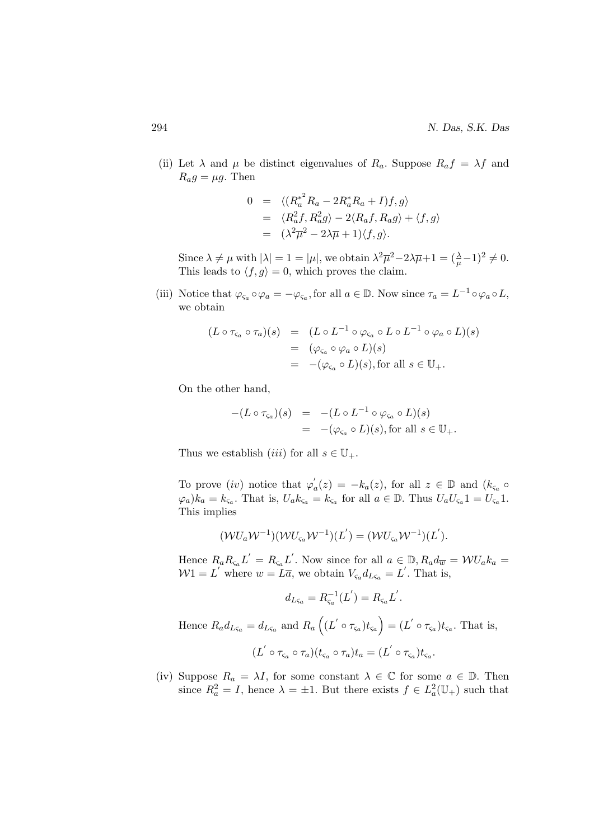(ii) Let  $\lambda$  and  $\mu$  be distinct eigenvalues of  $R_a$ . Suppose  $R_a f = \lambda f$  and  $R_a g = \mu g$ . Then

$$
0 = \langle (R_a^{*^2} R_a - 2R_a^* R_a + I) f, g \rangle
$$
  
=  $\langle R_a^2 f, R_a^2 g \rangle - 2 \langle R_a f, R_a g \rangle + \langle f, g \rangle$   
=  $(\lambda^2 \overline{\mu}^2 - 2\lambda \overline{\mu} + 1) \langle f, g \rangle.$ 

Since  $\lambda \neq \mu$  with  $|\lambda| = 1 = |\mu|$ , we obtain  $\lambda^2 \overline{\mu}^2 - 2\lambda \overline{\mu} + 1 = (\frac{\lambda}{\mu} - 1)^2 \neq 0$ . This leads to  $\langle f, g \rangle = 0$ , which proves the claim.

(iii) Notice that  $\varphi_{\zeta_a} \circ \varphi_a = -\varphi_{\zeta_a}$ , for all  $a \in \mathbb{D}$ . Now since  $\tau_a = L^{-1} \circ \varphi_a \circ L$ , we obtain

$$
(L \circ \tau_{\varsigma_a} \circ \tau_a)(s) = (L \circ L^{-1} \circ \varphi_{\varsigma_a} \circ L \circ L^{-1} \circ \varphi_a \circ L)(s)
$$
  
= 
$$
(\varphi_{\varsigma_a} \circ \varphi_a \circ L)(s)
$$
  
= 
$$
-(\varphi_{\varsigma_a} \circ L)(s), \text{for all } s \in \mathbb{U}_+.
$$

On the other hand,

$$
-(L \circ \tau_{\varsigma_a})(s) = -(L \circ L^{-1} \circ \varphi_{\varsigma_a} \circ L)(s)
$$
  
= 
$$
-(\varphi_{\varsigma_a} \circ L)(s), \text{for all } s \in \mathbb{U}_+.
$$

Thus we establish *(iii)* for all  $s \in \mathbb{U}_+$ .

To prove (iv) notice that  $\varphi'_a(z) = -k_a(z)$ , for all  $z \in \mathbb{D}$  and  $(k_{\zeta_a} \circ$  $(\varphi_a)k_a = k_{\varsigma_a}$ . That is,  $U_a k_{\varsigma_a} = k_{\varsigma_a}$  for all  $a \in \mathbb{D}$ . Thus  $U_a U_{\varsigma_a} 1 = U_{\varsigma_a} 1$ . This implies

$$
(\mathcal{W}U_a\mathcal{W}^{-1})(\mathcal{W}U_{\varsigma_a}\mathcal{W}^{-1})(L^{'})=(\mathcal{W}U_{\varsigma_a}\mathcal{W}^{-1})(L^{'}).
$$

Hence  $R_a R_{\varsigma_a} L' = R_{\varsigma_a} L'$ . Now since for all  $a \in \mathbb{D}$ ,  $R_a d_{\overline{w}} = \mathcal{W} U_a k_a =$  $W1 = L'$  where  $w = \overline{L} \overline{a}$ , we obtain  $V_{\varsigma_a} d_{L \varsigma_a} = L'$ . That is,

$$
d_{L\varsigma_a} = R_{\varsigma_a}^{-1}(L') = R_{\varsigma_a}L'.
$$

Hence  $R_a d_{L\varsigma_a} = d_{L\varsigma_a}$  and  $R_a \left( (L' \circ \tau_{\varsigma_a}) t_{\varsigma_a} \right) = (L' \circ \tau_{\varsigma_a}) t_{\varsigma_a}$ . That is,  $(L' \circ \tau_{\varsigma_a} \circ \tau_a)(t_{\varsigma_a} \circ \tau_a)t_a = (L' \circ \tau_{\varsigma_a})t_{\varsigma_a}.$ 

(iv) Suppose  $R_a = \lambda I$ , for some constant  $\lambda \in \mathbb{C}$  for some  $a \in \mathbb{D}$ . Then since  $R_a^2 = I$ , hence  $\lambda = \pm 1$ . But there exists  $f \in L_a^2(\mathbb{U}_+)$  such that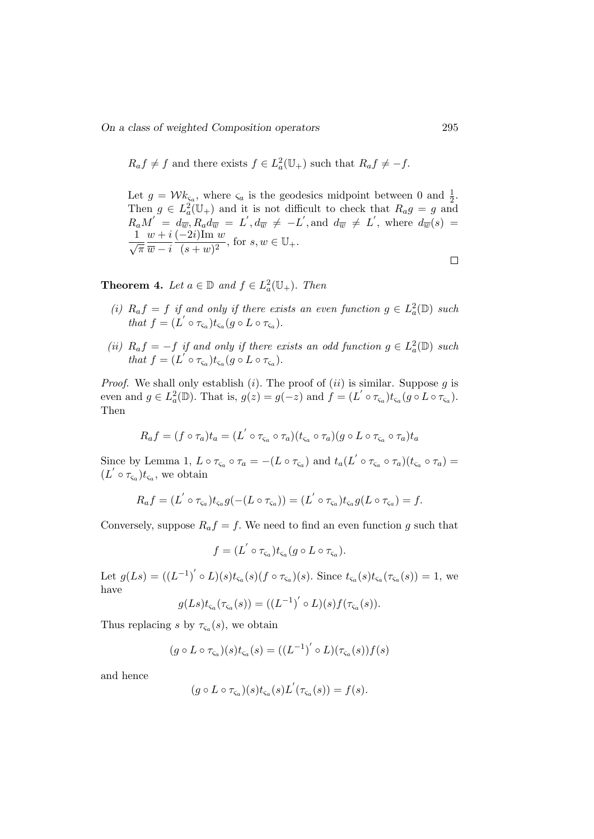$$
R_a f \neq f
$$
 and there exists  $f \in L^2_a(\mathbb{U}_+)$  such that  $R_a f \neq -f$ .

Let  $g = \mathcal{W} k_{\varsigma_a}$ , where  $\varsigma_a$  is the geodesics midpoint between 0 and  $\frac{1}{2}$ . Let  $g = \nu \kappa_{\alpha}$ , where  $\zeta_a$  is the geodesics imapoint between 0 and  $\frac{1}{2}$ .<br>Then  $g \in L^2_a(\mathbb{U}_+)$  and it is not difficult to check that  $R_a g = g$  and  $R_a M^{'} = d_{\overline{w}}, R_a d_{\overline{w}} = L^{'}, d_{\overline{w}} \neq -L^{'}, \text{and } d_{\overline{w}} \neq L^{'}, \text{ where } d_{\overline{w}}(s) =$  $\frac{1}{\sqrt{\pi}}$  $w + i$  $(-2i)$ Im w  $\frac{-2i}{\sqrt{(s+w)^2}}$ , for  $s, w \in \mathbb{U}_+$ .  $\overline{w}-i$  $\Box$ 

**Theorem 4.** Let  $a \in \mathbb{D}$  and  $f \in L^2_a(\mathbb{U}_+)$ . Then

- (i)  $R_a f = f$  if and only if there exists an even function  $g \in L^2_a(\mathbb{D})$  such that  $f = (L' \circ \tau_{\varsigma_a}) t_{\varsigma_a}(g \circ L \circ \tau_{\varsigma_a}).$
- (ii)  $R_a f = -f$  if and only if there exists an odd function  $g \in L^2_a(\mathbb{D})$  such that  $f = (L' \circ \tau_{\varsigma_a}) t_{\varsigma_a}(g \circ L \circ \tau_{\varsigma_a}).$

*Proof.* We shall only establish (i). The proof of (ii) is similar. Suppose g is even and  $g \in L^2_a(\mathbb{D})$ . That is,  $g(z) = g(-z)$  and  $f = (L' \circ \tau_{\varsigma_a}) t_{\varsigma_a}(g \circ L \circ \tau_{\varsigma_a})$ . Then

$$
R_a f = (f \circ \tau_a) t_a = (L' \circ \tau_{\varsigma_a} \circ \tau_a) (t_{\varsigma_a} \circ \tau_a) (g \circ L \circ \tau_{\varsigma_a} \circ \tau_a) t_a
$$

Since by Lemma 1,  $L \circ \tau_{\varsigma_a} \circ \tau_a = -(L \circ \tau_{\varsigma_a})$  and  $t_a(L' \circ \tau_{\varsigma_a} \circ \tau_a)(t_{\varsigma_a} \circ \tau_a) =$  $(L' \circ \tau_{\varsigma_a}) t_{\varsigma_a}$ , we obtain

$$
R_{a}f = (L^{'} \circ \tau_{\varsigma_{a}})t_{\varsigma_{a}}g(-(L \circ \tau_{\varsigma_{a}})) = (L^{'} \circ \tau_{\varsigma_{a}})t_{\varsigma_{a}}g(L \circ \tau_{\varsigma_{a}}) = f.
$$

Conversely, suppose  $R_a f = f$ . We need to find an even function g such that

$$
f=(L'\circ \tau_{\varsigma_a})t_{\varsigma_a}(g\circ L\circ \tau_{\varsigma_a}).
$$

Let  $g(Ls) = ((L^{-1})' \circ L)(s)t_{\varsigma_a}(s) (f \circ \tau_{\varsigma_a})(s)$ . Since  $t_{\varsigma_a}(s)t_{\varsigma_a}(\tau_{\varsigma_a}(s)) = 1$ , we have

$$
g(Ls)t_{\varsigma_a}(\tau_{\varsigma_a}(s))=((L^{-1})'\circ L)(s)f(\tau_{\varsigma_a}(s)).
$$

Thus replacing s by  $\tau_{\varsigma_a}(s)$ , we obtain

$$
(g \circ L \circ \tau_{\varsigma_a})(s)t_{\varsigma_a}(s) = ((L^{-1})' \circ L)(\tau_{\varsigma_a}(s))f(s)
$$

and hence

$$
(g \circ L \circ \tau_{\varsigma_a})(s)t_{\varsigma_a}(s)L^{'}(\tau_{\varsigma_a}(s)) = f(s).
$$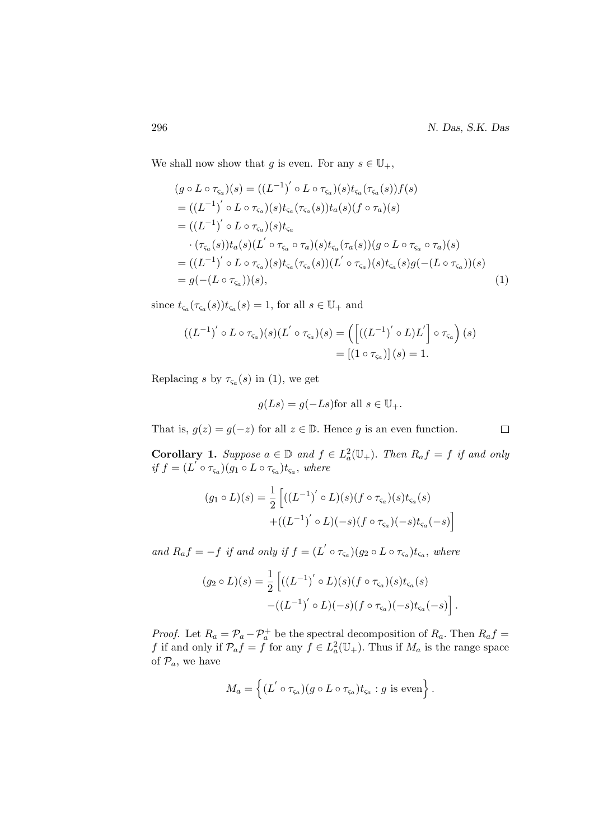We shall now show that g is even. For any  $s \in \mathbb{U}_+$ ,

$$
(g \circ L \circ \tau_{\varsigma_a})(s) = ((L^{-1})' \circ L \circ \tau_{\varsigma_a})(s)t_{\varsigma_a}(\tau_{\varsigma_a}(s))f(s)
$$
  
\n
$$
= ((L^{-1})' \circ L \circ \tau_{\varsigma_a})(s)t_{\varsigma_a}(\tau_{\varsigma_a}(s))t_a(s)(f \circ \tau_a)(s)
$$
  
\n
$$
= ((L^{-1})' \circ L \circ \tau_{\varsigma_a})(s)t_{\varsigma_a}
$$
  
\n
$$
\cdot (\tau_{\varsigma_a}(s))t_a(s)(L' \circ \tau_{\varsigma_a} \circ \tau_a)(s)t_{\varsigma_a}(\tau_a(s))(g \circ L \circ \tau_{\varsigma_a} \circ \tau_a)(s)
$$
  
\n
$$
= ((L^{-1})' \circ L \circ \tau_{\varsigma_a})(s)t_{\varsigma_a}(\tau_{\varsigma_a}(s))(L' \circ \tau_{\varsigma_a})(s)t_{\varsigma_a}(s)g(-(L \circ \tau_{\varsigma_a}))(s)
$$
  
\n
$$
= g(-(L \circ \tau_{\varsigma_a}))(s),
$$
  
\n(1)

since  $t_{\varsigma_a}(\tau_{\varsigma_a}(s))t_{\varsigma_a}(s) = 1$ , for all  $s \in \mathbb{U}_+$  and

$$
((L^{-1})' \circ L \circ \tau_{\varsigma_a})(s)(L' \circ \tau_{\varsigma_a})(s) = \left(\left[\left((L^{-1})' \circ L\right)L'\right] \circ \tau_{\varsigma_a}\right)(s)
$$

$$
= \left[\left(1 \circ \tau_{\varsigma_a}\right)\right](s) = 1.
$$

Replacing s by  $\tau_{\varsigma_a}(s)$  in (1), we get

$$
g(Ls) = g(-Ls)
$$
for all  $s \in \mathbb{U}_+$ .

That is,  $g(z) = g(-z)$  for all  $z \in \mathbb{D}$ . Hence g is an even function.

**Corollary 1.** Suppose  $a \in \mathbb{D}$  and  $f \in L^2_a(\mathbb{U}_+)$ . Then  $R_a f = f$  if and only if  $f = (L^{'} \circ \tau_{\varsigma_a})(g_1 \circ L \circ \tau_{\varsigma_a})t_{\varsigma_a},$  where

$$
(g_1 \circ L)(s) = \frac{1}{2} \left[ ((L^{-1})' \circ L)(s) (f \circ \tau_{\varsigma_a})(s) t_{\varsigma_a}(s) + ((L^{-1})' \circ L)(-s) (f \circ \tau_{\varsigma_a})(-s) t_{\varsigma_a}(-s) \right]
$$

and  $R_a f = -f$  if and only if  $f = (L' \circ \tau_{\varsigma_a})(g_2 \circ L \circ \tau_{\varsigma_a})t_{\varsigma_a}$ , where

$$
(g_2 \circ L)(s) = \frac{1}{2} \left[ ((L^{-1})' \circ L)(s) (f \circ \tau_{\varsigma_a})(s) t_{\varsigma_a}(s) - ((L^{-1})' \circ L)(-s) (f \circ \tau_{\varsigma_a})(-s) t_{\varsigma_a}(-s) \right].
$$

*Proof.* Let  $R_a = \mathcal{P}_a - \mathcal{P}_a^+$  be the spectral decomposition of  $R_a$ . Then  $R_a f =$ f if and only if  $\mathcal{P}_a f = f$  for any  $f \in L^2_a(\mathbb{U}_+)$ . Thus if  $M_a$  is the range space of  $\mathcal{P}_a$ , we have

$$
M_a = \left\{ (L' \circ \tau_{\varsigma_a})(g \circ L \circ \tau_{\varsigma_a}) t_{\varsigma_a} : g \text{ is even} \right\}.
$$

 $\Box$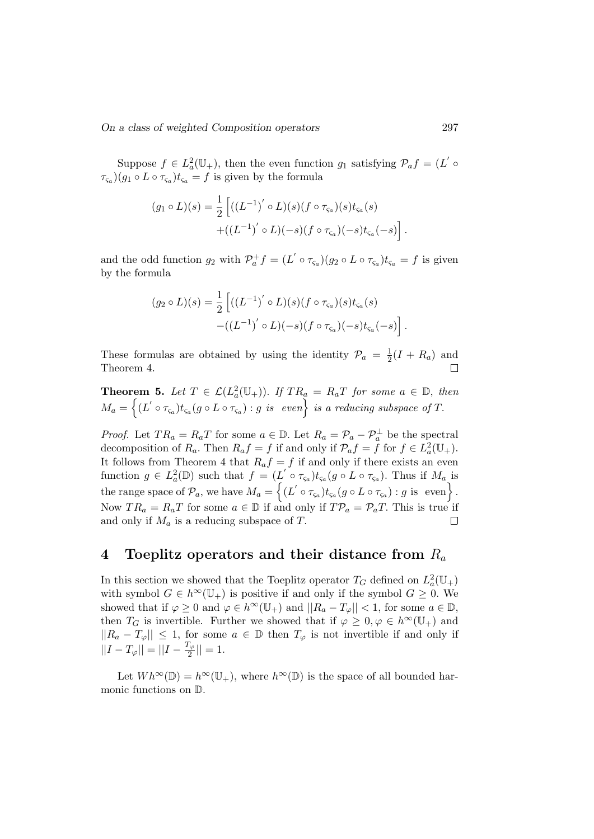Suppose  $f \in L^2_a(\mathbb{U}_+)$ , then the even function  $g_1$  satisfying  $\mathcal{P}_a f = (L' \circ$  $\tau_{\varsigma_a}(g_1 \circ L \circ \tau_{\varsigma_a}) t_{\varsigma_a} = f$  is given by the formula

$$
(g_1 \circ L)(s) = \frac{1}{2} \left[ ((L^{-1})' \circ L)(s) (f \circ \tau_{\varsigma_a})(s) t_{\varsigma_a}(s) + ((L^{-1})' \circ L)(-s) (f \circ \tau_{\varsigma_a})(-s) t_{\varsigma_a}(-s) \right]
$$

and the odd function  $g_2$  with  $\mathcal{P}_a^+ f = (L' \circ \tau_{\varsigma_a})(g_2 \circ L \circ \tau_{\varsigma_a}) t_{\varsigma_a} = f$  is given by the formula

$$
(g_2 \circ L)(s) = \frac{1}{2} \left[ ((L^{-1})' \circ L)(s) (f \circ \tau_{\varsigma_a})(s) t_{\varsigma_a}(s) - ((L^{-1})' \circ L)(-s) (f \circ \tau_{\varsigma_a})(-s) t_{\varsigma_a}(-s) \right].
$$

These formulas are obtained by using the identity  $\mathcal{P}_a = \frac{1}{2}$  $\frac{1}{2}(I + R_a)$  and Theorem 4.

**Theorem 5.** Let  $T \in \mathcal{L}(L_a^2(\mathbb{U}_+))$ . If  $TR_a = R_aT$  for some  $a \in \mathbb{D}$ , then  $M_a = \left\{ (L' \circ \tau_{\varsigma_a}) t_{\varsigma_a}(g \circ L \circ \tau_{\varsigma_a}) : g \,\, \text{is} \,\, \text{ even} \right\} \,\, \text{is} \,\, \text{ a reducing subspace of } T.$ 

*Proof.* Let  $TR_a = R_aT$  for some  $a \in \mathbb{D}$ . Let  $R_a = \mathcal{P}_a - \mathcal{P}_a^{\perp}$  be the spectral decomposition of  $R_a$ . Then  $R_a f = f$  if and only if  $\mathcal{P}_a f = \overline{f}$  for  $f \in L^2_a(\mathbb{U}_+)$ . It follows from Theorem 4 that  $R_a f = f$  if and only if there exists an even function  $g \in L^2_a(\mathbb{D})$  such that  $f = (L' \circ \tau_{\varsigma_a})t_{\varsigma_a}(g \circ L \circ \tau_{\varsigma_a})$ . Thus if  $M_a$  is the range space of  $\mathcal{P}_a$ , we have  $M_a = \{(L' \circ \tau_{\varsigma_a})t_{\varsigma_a}(g \circ L \circ \tau_{\varsigma_a}) : g \text{ is even}\}.$ Now  $TR_a = R_aT$  for some  $a \in \mathbb{D}$  if and only if  $T\mathcal{P}_a = \mathcal{P}_aT$ . This is true if and only if  $M_a$  is a reducing subspace of T.  $\Box$ 

# 4 Toeplitz operators and their distance from  $R_a$

In this section we showed that the Toeplitz operator  $T_G$  defined on  $L^2_a(\mathbb{U}_+)$ with symbol  $G \in h^{\infty}(\mathbb{U}_{+})$  is positive if and only if the symbol  $G \geq 0$ . We showed that if  $\varphi \geq 0$  and  $\varphi \in h^{\infty}(\mathbb{U}_{+})$  and  $||R_{a}-T_{\varphi}|| < 1$ , for some  $a \in \mathbb{D}$ , then  $T_G$  is invertible. Further we showed that if  $\varphi \geq 0, \varphi \in h^{\infty}(\mathbb{U}_+)$  and  $||R_a - T_{\varphi}|| \leq 1$ , for some  $a \in \mathbb{D}$  then  $T_{\varphi}$  is not invertible if and only if  $||I - T_{\varphi}|| = ||I - \frac{T_{\varphi}}{2}$  $\frac{1}{2}$ || = 1.

Let  $Wh^{\infty}(\mathbb{D}) = h^{\infty}(\mathbb{U}_{+}),$  where  $h^{\infty}(\mathbb{D})$  is the space of all bounded harmonic functions on D.

.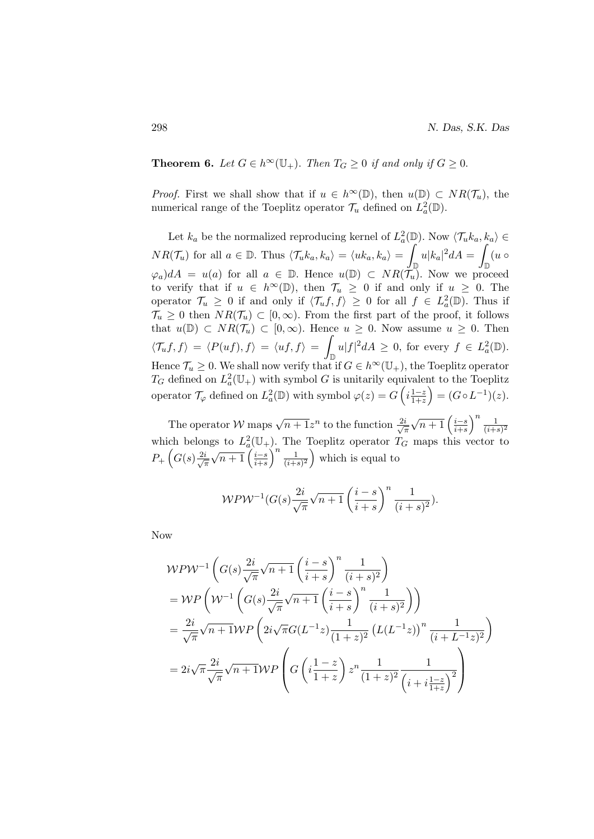**Theorem 6.** Let  $G \in h^{\infty}(\mathbb{U}_{+})$ . Then  $T_G \geq 0$  if and only if  $G \geq 0$ .

*Proof.* First we shall show that if  $u \in h^{\infty}(\mathbb{D})$ , then  $u(\mathbb{D}) \subset NR(\mathcal{T}_u)$ , the numerical range of the Toeplitz operator  $\mathcal{T}_u$  defined on  $L^2_a(\mathbb{D})$ .

Let  $k_a$  be the normalized reproducing kernel of  $L^2_a(\mathbb{D})$ . Now  $\langle \mathcal{T}_u k_a, k_a \rangle \in$  $NR(\mathcal{T}_u)$  for all  $a \in \mathbb{D}$ . Thus  $\langle \mathcal{T}_u k_a, k_a \rangle = \langle u k_a, k_a \rangle = \emptyset$  $\int\limits_{\mathbb{D}}u|k_{a}|^{2}dA =\int% \int\limits_{\mathbb{D}}u\cdot1_{A_{A}}d\mu_{A}$  $\int_{\mathbb{D}} (u \circ$  $(\varphi_a)dA = u(a)$  for all  $a \in \mathbb{D}$ . Hence  $u(\mathbb{D}) \subset NR(\tilde{\mathcal{T}}_u)$ . Now we proceed to verify that if  $u \in h^{\infty}(\mathbb{D})$ , then  $\mathcal{T}_u \geq 0$  if and only if  $u \geq 0$ . The operator  $\mathcal{T}_u \geq 0$  if and only if  $\langle \mathcal{T}_u f, f \rangle \geq 0$  for all  $f \in L^2_a(\mathbb{D})$ . Thus if  $\mathcal{T}_u \geq 0$  then  $NR(\mathcal{T}_u) \subset [0,\infty)$ . From the first part of the proof, it follows that  $u(\mathbb{D}) \subset NR(\mathcal{T}_u) \subset [0,\infty)$ . Hence  $u \geq 0$ . Now assume  $u \geq 0$ . Then  $\langle \mathcal{T}_u f, f \rangle = \langle P(uf), f \rangle = \langle uf, f \rangle =$  $\int_{\mathbb{D}} u|f|^2 dA \geq 0$ , for every  $f \in L^2_a(\mathbb{D})$ . Hence  $\mathcal{T}_u \geq 0$ . We shall now verify that if  $G \in h^{\infty}(\mathbb{U}_+)$ , the Toeplitz operator  $T_G$  defined on  $L^2_a(\mathbb{U}_+)$  with symbol G is unitarily equivalent to the Toeplitz operator  $\mathcal{T}_{\varphi}$  defined on  $L^2_a(\mathbb{D})$  with symbol  $\varphi(z) = G\left(i\frac{1-z}{1+z}\right)$  $\frac{1-z}{1+z}$  =  $(G \circ L^{-1})(z)$ .

The operator W maps  $\sqrt{n+1}z^n$  to the function  $\frac{2i}{\sqrt{n}}$ π  $\sqrt{n+1} \left( \frac{i-s}{i+s} \right)$  $\left(\frac{i-s}{i+s}\right)^n \frac{1}{(i+s)}$  $\overline{(i+s)^2}$ which belongs to  $L^2_a(\mathbb{U}_+)$ . The Toeplitz operator  $T_G$  maps this vector to  $P_+\left(G(s)\frac{2i}{\sqrt{3}}\right)$ π  $\sqrt{n+1}\left(\frac{i-s}{i+s}\right)$  $\left(\frac{i-s}{i+s}\right)^n \frac{1}{(i+s)}$  $\frac{1}{(i+s)^2}$  which is equal to

$$
\mathcal{W} \mathcal{P} \mathcal{W}^{-1}(G(s) \frac{2i}{\sqrt{\pi}} \sqrt{n+1} \left(\frac{i-s}{i+s}\right)^n \frac{1}{(i+s)^2}).
$$

Now

$$
\mathcal{W}P\mathcal{W}^{-1}\left(G(s)\frac{2i}{\sqrt{\pi}}\sqrt{n+1}\left(\frac{i-s}{i+s}\right)^n\frac{1}{(i+s)^2}\right)
$$
  
= 
$$
\mathcal{W}P\left(\mathcal{W}^{-1}\left(G(s)\frac{2i}{\sqrt{\pi}}\sqrt{n+1}\left(\frac{i-s}{i+s}\right)^n\frac{1}{(i+s)^2}\right)\right)
$$
  
= 
$$
\frac{2i}{\sqrt{\pi}}\sqrt{n+1}\mathcal{W}P\left(2i\sqrt{\pi}G(L^{-1}z)\frac{1}{(1+z)^2}\left(L(L^{-1}z)\right)^n\frac{1}{(i+L^{-1}z)^2}\right)
$$
  
= 
$$
2i\sqrt{\pi}\frac{2i}{\sqrt{\pi}}\sqrt{n+1}\mathcal{W}P\left(G\left(i\frac{1-z}{1+z}\right)z^n\frac{1}{(1+z)^2}\frac{1}{(i+i\frac{1-z}{1+z})^2}\right)
$$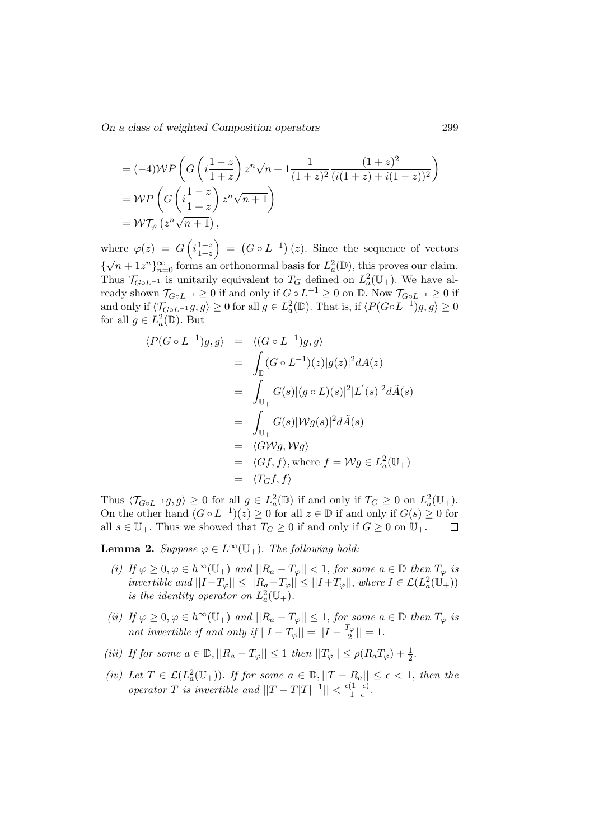$$
= (-4) \mathcal{W}P\left(G\left(i\frac{1-z}{1+z}\right)z^n\sqrt{n+1}\frac{1}{(1+z)^2}\frac{(1+z)^2}{(i(1+z)+i(1-z))^2}\right)
$$
  
= 
$$
\mathcal{W}P\left(G\left(i\frac{1-z}{1+z}\right)z^n\sqrt{n+1}\right)
$$
  
= 
$$
\mathcal{W}T_{\varphi}\left(z^n\sqrt{n+1}\right),
$$

where  $\varphi(z) = G\left(i\frac{1-z}{1+z}\right)$  $\left(\frac{1-z}{1+z}\right) = (G \circ L^{-1})(z)$ . Since the sequence of vectors  ${\lbrace \sqrt{n+1}z^n \rbrace_{n=0}^{\infty}}$  forms an orthonormal basis for  $L^2_a(\mathbb{D})$ , this proves our claim. √ Thus  $\mathcal{T}_{G \circ L^{-1}}$  is unitarily equivalent to  $T_G$  defined on  $L^2_a(\mathbb{U}_+)$ . We have already shown  $\mathcal{T}_{G \circ L^{-1}} \geq 0$  if and only if  $G \circ L^{-1} \geq 0$  on  $\mathbb{D}$ . Now  $\mathcal{T}_{G \circ L^{-1}} \geq 0$  if and only if  $\langle \mathcal{T}_{G \circ L^{-1}} g, g \rangle \ge 0$  for all  $g \in L^2_a(\mathbb{D})$ . That is, if  $\langle P(G \circ L^{-1}) g, g \rangle \ge 0$ for all  $g \in L^2_a(\mathbb{D})$ . But

$$
\langle P(G \circ L^{-1})g, g \rangle = \langle (G \circ L^{-1})g, g \rangle
$$
  
\n
$$
= \int_{\mathbb{D}} (G \circ L^{-1})(z)|g(z)|^2 dA(z)
$$
  
\n
$$
= \int_{\mathbb{U}_+} G(s)|(g \circ L)(s)|^2 |L'(s)|^2 d\tilde{A}(s)
$$
  
\n
$$
= \int_{\mathbb{U}_+} G(s)|\mathcal{W}g(s)|^2 d\tilde{A}(s)
$$
  
\n
$$
= \langle G \mathcal{W}g, \mathcal{W}g \rangle
$$
  
\n
$$
= \langle Gf, f \rangle, \text{ where } f = \mathcal{W}g \in L_a^2(\mathbb{U}_+)
$$
  
\n
$$
= \langle T_G f, f \rangle
$$

Thus  $\langle \mathcal{T}_{G \circ L^{-1}} g, g \rangle \ge 0$  for all  $g \in L^2_a(\mathbb{D})$  if and only if  $T_G \ge 0$  on  $L^2_a(\mathbb{U}_+)$ . On the other hand  $(G \circ L^{-1})(z) \ge 0$  for all  $z \in \mathbb{D}$  if and only if  $G(s) \ge 0$  for all  $s \in \mathbb{U}_+$ . Thus we showed that  $T_G \geq 0$  if and only if  $G \geq 0$  on  $\mathbb{U}_+$ .  $\Box$ 

**Lemma 2.** Suppose  $\varphi \in L^{\infty}(\mathbb{U}_{+})$ . The following hold:

- (i) If  $\varphi \geq 0, \varphi \in h^{\infty}(\mathbb{U}_{+})$  and  $||R_a T_{\varphi}|| < 1$ , for some  $a \in \mathbb{D}$  then  $T_{\varphi}$  is invertible and  $||I-T_{\varphi}|| \leq ||R_a-T_{\varphi}|| \leq ||I+T_{\varphi}||$ , where  $I \in \mathcal{L}(L^2_a(\mathbb{U}_+))$ is the identity operator on  $L^2_a(\mathbb{U}_+).$
- (ii) If  $\varphi \geq 0, \varphi \in h^{\infty}(\mathbb{U}_{+})$  and  $||R_a T_{\varphi}|| \leq 1$ , for some  $a \in \mathbb{D}$  then  $T_{\varphi}$  is not invertible if and only if  $||I-T_{\varphi}||=||I-\frac{T_{\varphi}}{2}||$  $\frac{1}{2}$ || = 1.
- (iii) If for some  $a \in \mathbb{D}, ||R_a T_{\varphi}|| \leq 1$  then  $||T_{\varphi}|| \leq \rho(R_a T_{\varphi}) + \frac{1}{2}$ .
- (iv) Let  $T \in \mathcal{L}(L_a^2(\mathbb{U}_+))$ . If for some  $a \in \mathbb{D}, ||T R_a|| \leq \epsilon < 1$ , then the operator T is invertible and  $||T - T|T|^{-1}|| < \frac{\epsilon(1+\epsilon)}{1-\epsilon}$  $\frac{(1+\epsilon)}{1-\epsilon}$ .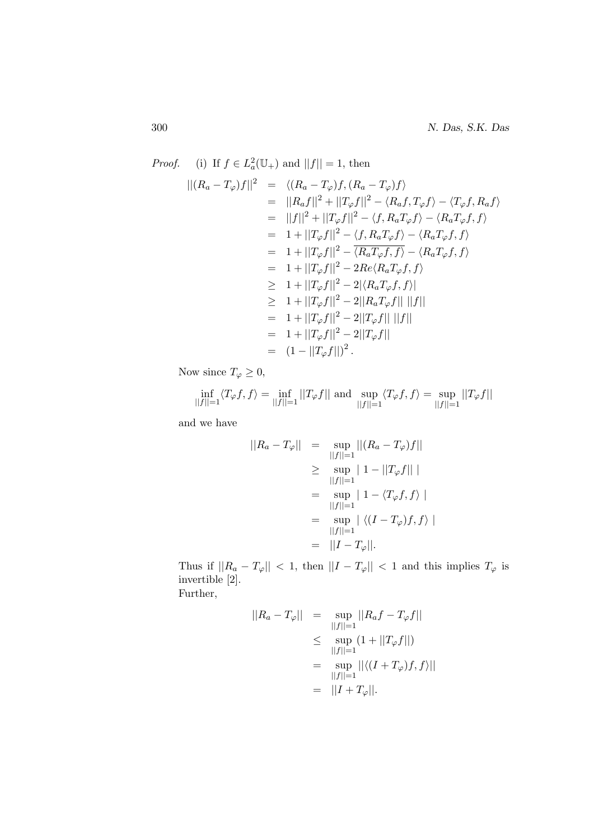*Proof.* (i) If  $f \in L^2_a(\mathbb{U}_+)$  and  $||f|| = 1$ , then  $||(R_a - T_\varphi)f||^2 = \langle (R_a - T_\varphi)f,(R_a - T_\varphi)f\rangle$  $=$   $||R_a f||^2 + ||T_{\varphi} f||^2 - \langle R_a f, T_{\varphi} f \rangle - \langle T_{\varphi} f, R_a f \rangle$  $= ||f||^2 + ||T_{\varphi}f||^2 - \langle f, R_aT_{\varphi}f \rangle - \langle R_aT_{\varphi}f, f \rangle$  $= 1 + ||T_{\varphi}f||^2 - \langle f, R_aT_{\varphi}f \rangle - \langle R_aT_{\varphi}f, f \rangle$  $= 1 + ||T_{\varphi}f||^2 - \overline{\langle R_aT_{\varphi}f, f\rangle} - \langle R_aT_{\varphi}f, f\rangle$  $= 1 + ||T_{\varphi}f||^2 - 2Re\langle R_aT_{\varphi}f, f\rangle$  $\geq 1 + ||T_{\varphi}f||^2 - 2|\langle R_aT_{\varphi}f, f\rangle|$  $\geq 1 + ||T_{\varphi}f||^2 - 2||R_aT_{\varphi}f|| \, ||f||$  $= 1 + ||T_{\varphi}f||^2 - 2||T_{\varphi}f|| ||f||$  $= 1 + ||T_{\varphi}f||^2 - 2||T_{\varphi}f||^2$  $= (1 - ||T_{\varphi}f||)^2$ .

Now since  $T_{\varphi} \geq 0$ ,

$$
\inf_{||f||=1} \langle T_{\varphi} f, f \rangle = \inf_{||f||=1} ||T_{\varphi} f|| \text{ and } \sup_{||f||=1} \langle T_{\varphi} f, f \rangle = \sup_{||f||=1} ||T_{\varphi} f||
$$

and we have

$$
||R_a - T_{\varphi}|| = \sup_{||f||=1} ||(R_a - T_{\varphi})f||
$$
  
\n
$$
\geq \sup_{||f||=1} ||1 - ||T_{\varphi}f|| ||
$$
  
\n
$$
= \sup_{||f||=1} ||1 - \langle T_{\varphi}f, f \rangle ||
$$
  
\n
$$
= \sup_{||f||=1} |\langle (I - T_{\varphi})f, f \rangle ||
$$
  
\n
$$
= ||I - T_{\varphi}||.
$$

Thus if  $||R_a - T_\varphi|| < 1$ , then  $||I - T_\varphi|| < 1$  and this implies  $T_\varphi$  is invertible [2]. Further,

$$
||R_a - T_{\varphi}|| = \sup_{||f||=1} ||R_a f - T_{\varphi} f||
$$
  
\n
$$
\leq \sup_{||f||=1} (1 + ||T_{\varphi} f||)
$$
  
\n
$$
= \sup_{||f||=1} ||\langle (I + T_{\varphi}) f, f \rangle||
$$
  
\n
$$
= ||I + T_{\varphi}||.
$$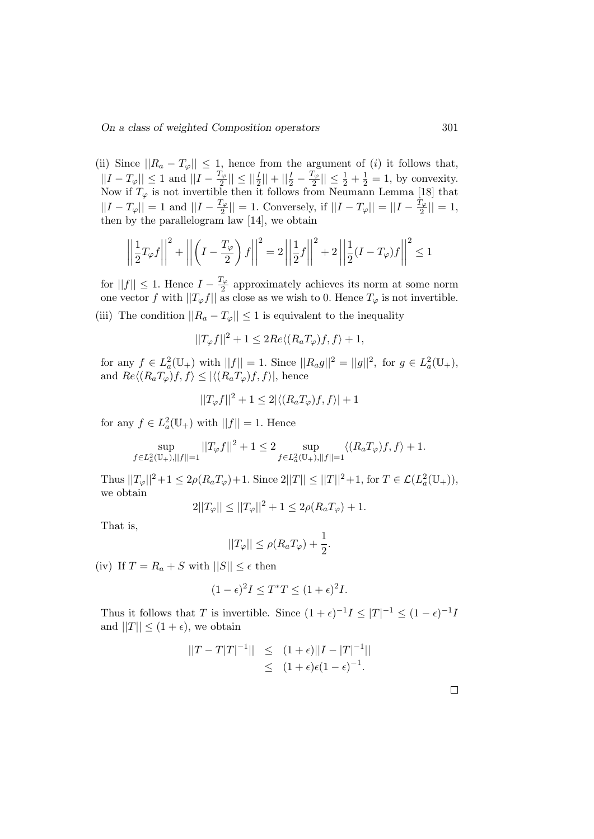(ii) Since  $||R_a - T_{\varphi}|| \leq 1$ , hence from the argument of (i) it follows that,  $||I - T_{\varphi}|| \leq 1$  and  $||I - \frac{T_{\varphi}}{2}||$  $\frac{|\Gamma_{\varphi}|}{2} || \leq ||\frac{I}{2}|| + ||\frac{I}{2} - \frac{T_{\varphi}}{2}$  $\frac{d\mathcal{L}_{\varphi}}{2} \leq \frac{1}{2} + \frac{1}{2} = 1$ , by convexity. Now if  $T_{\varphi}$  is not invertible then it follows from Neumann Lemma [18] that  $||I - T_{\varphi}|| = 1$  and  $||I - \frac{T_{\varphi}}{2}||$  $\vert \frac{\Gamma_{\varphi}}{2} \vert \vert = 1$ . Conversely, if  $\vert \vert I - T_{\varphi} \vert \vert = \vert \vert I - \frac{T_{\varphi}}{2} \vert$  $\frac{1}{2}$ || = 1, then by the parallelogram law [14], we obtain

$$
\left\| \frac{1}{2} T_{\varphi} f \right\|^2 + \left\| \left( I - \frac{T_{\varphi}}{2} \right) f \right\|^2 = 2 \left\| \frac{1}{2} f \right\|^2 + 2 \left\| \frac{1}{2} (I - T_{\varphi}) f \right\|^2 \le 1
$$

for  $||f|| \leq 1$ . Hence  $I - \frac{T_{\varphi}}{2}$  $\frac{1}{2}$  approximately achieves its norm at some norm one vector f with  $||T_{\varphi}f||$  as close as we wish to 0. Hence  $T_{\varphi}$  is not invertible. (iii) The condition  $||R_a - T_{\varphi}|| \leq 1$  is equivalent to the inequality

$$
||T_{\varphi}f||^2 + 1 \le 2Re\langle (R_aT_{\varphi})f, f \rangle + 1,
$$

for any  $f \in L^2_a(\mathbb{U}_+)$  with  $||f|| = 1$ . Since  $||R_a g||^2 = ||g||^2$ , for  $g \in L^2_a(\mathbb{U}_+)$ , and  $Re\langle (R_aT_\varphi)f, f\rangle \leq |\langle (R_aT_\varphi)f, f\rangle|$ , hence

$$
||T_{\varphi}f||^2 + 1 \le 2|\langle (R_aT_{\varphi})f, f \rangle| + 1
$$

for any  $f \in L^2_a(\mathbb{U}_+)$  with  $||f|| = 1$ . Hence

$$
\sup_{f\in L^2_a(\mathbb{U}_+), ||f||=1}||T_\varphi f||^2+1\leq 2\sup_{f\in L^2_a(\mathbb{U}_+), ||f||=1} \langle (R_aT_\varphi)f, f\rangle+1.
$$

Thus  $||T_{\varphi}||^2 + 1 \le 2\rho(R_a T_{\varphi}) + 1$ . Since  $2||T|| \le ||T||^2 + 1$ , for  $T \in \mathcal{L}(L_a^2(\mathbb{U}_+)),$ we obtain

$$
2||T_{\varphi}|| \le ||T_{\varphi}||^2 + 1 \le 2\rho(R_a T_{\varphi}) + 1.
$$

That is,

$$
||T_{\varphi}|| \leq \rho(R_a T_{\varphi}) + \frac{1}{2}.
$$

(iv) If  $T = R_a + S$  with  $||S|| \leq \epsilon$  then

$$
(1 - \epsilon)^2 I \le T^* T \le (1 + \epsilon)^2 I.
$$

Thus it follows that T is invertible. Since  $(1+\epsilon)^{-1}I \leq |T|^{-1} \leq (1-\epsilon)^{-1}I$ and  $||T|| \leq (1 + \epsilon)$ , we obtain

$$
||T - T|T|^{-1}|| \le (1 + \epsilon) ||I - |T|^{-1}||
$$
  
\$\le (1 + \epsilon)\epsilon(1 - \epsilon)^{-1}\$.

 $\Box$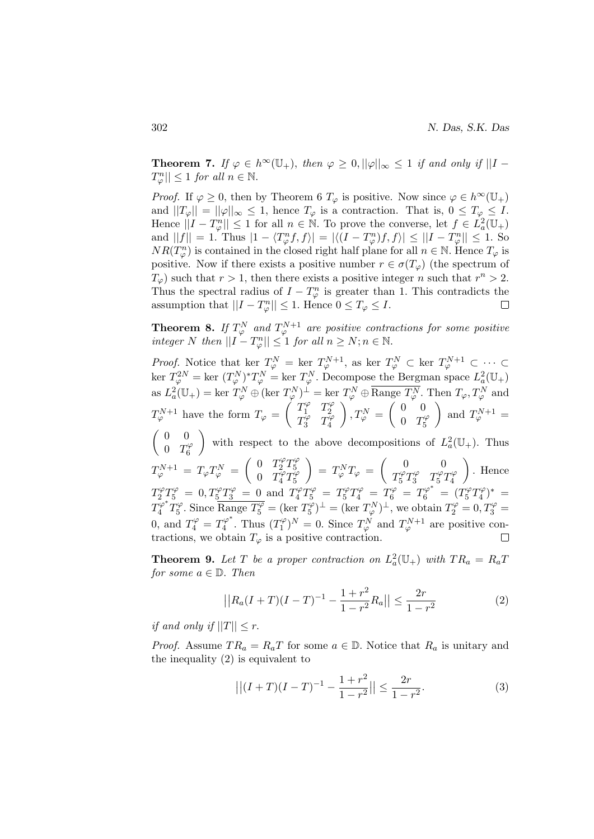**Theorem 7.** If  $\varphi \in h^{\infty}(\mathbb{U}_+)$ , then  $\varphi \geq 0$ ,  $||\varphi||_{\infty} \leq 1$  if and only if  $||I T_{\varphi}^{n}|| \leq 1$  for all  $n \in \mathbb{N}$ .

*Proof.* If  $\varphi \geq 0$ , then by Theorem 6  $T_{\varphi}$  is positive. Now since  $\varphi \in h^{\infty}(\mathbb{U}_{+})$ and  $||T_{\varphi}|| = ||\varphi||_{\infty} \leq 1$ , hence  $T_{\varphi}$  is a contraction. That is,  $0 \leq T_{\varphi} \leq I$ . Hence  $||I - T_{\varphi}^{n}|| \leq 1$  for all  $n \in \mathbb{N}$ . To prove the converse, let  $f \in L^{2}_{a}(\mathbb{U}_{+})$ and  $||f|| = 1$ . Thus  $|1 - \langle T_{\varphi}^n f, f \rangle| = |\langle (I - T_{\varphi}^n) f, f \rangle| \le ||I - T_{\varphi}^n|| \le 1$ . So  $NR(T_{\varphi}^{n})$  is contained in the closed right half plane for all  $n \in \mathbb{N}$ . Hence  $T_{\varphi}$  is positive. Now if there exists a positive number  $r \in \sigma(T_{\varphi})$  (the spectrum of  $T_{\varphi}$ ) such that  $r > 1$ , then there exists a positive integer n such that  $r^n > 2$ . Thus the spectral radius of  $I - T_{\varphi}^{n}$  is greater than 1. This contradicts the assumption that  $||I - T_{\varphi}^{n}|| \leq 1$ . Hence  $0 \leq T_{\varphi} \leq I$ .  $\Box$ 

**Theorem 8.** If  $T^N_\varphi$  and  $T^{N+1}_\varphi$  are positive contractions for some positive integer N then  $||I - T_{\varphi}^{n}|| \leq 1$  for all  $n \geq N; n \in \mathbb{N}$ .

*Proof.* Notice that ker  $T_{\varphi}^N = \text{ker } T_{\varphi}^{N+1}$ , as ker  $T_{\varphi}^N \subset \text{ker } T_{\varphi}^{N+1} \subset \cdots \subset T_{\varphi}$ ker  $T^{2N}_{\varphi} = \text{ker } (T^{N}_{\varphi})^* T^{N}_{\varphi} = \text{ker } T^{N}_{\varphi}$ . Decompose the Bergman space  $L^2_a(\mathbb{U}_+)$ as  $L^2_a(\mathbb{U}_+) = \text{ker } T^N_\varphi \oplus (\text{ker } T^N_\varphi)^\perp = \text{ker } T^N_\varphi \oplus \overline{\text{Range } T^N_\varphi}.$  Then  $T_\varphi, T^N_\varphi$  and  $T_{\varphi}^{N+1}$  have the form  $T_{\varphi} = \begin{pmatrix} T_1^{\varphi} & T_2^{\varphi} \\ T^{\varphi} & T^{\varphi} \end{pmatrix}$ 2  $T_3^{\varphi}$   $T_4^{\varphi}$ 4  $\Bigg), T_{\varphi}^{N} = \left( \begin{array}{cc} 0 & 0 \\ 0 & T^{N} \end{array} \right)$  $0 \tT_5^{\varphi}$ 5 ) and  $T^{N+1}_{\varphi} =$  $\begin{pmatrix} 0 & 0 \\ 0 & 0 \end{pmatrix}$  $0 \tT_6^{\varphi}$ with respect to the above decompositions of  $L^2_a(\mathbb{U}_+)$ . Thus

6  $T^{N+1}_{\varphi} = T_{\varphi} T^N_{\varphi} = \begin{pmatrix} 0 & T_2^{\varphi} T_5^{\varphi} \ 0 & T^{\varphi} T^{\varphi} \end{pmatrix}$ 5 0  $T_4^{\varphi} T_5^{\varphi}$ 5 /  $\begin{array}{ccc} 5 & 4 \end{array}$  $\Bigg) = T_{\varphi}^{N} T_{\varphi} = \begin{pmatrix} 0 & 0 \ T^{\varphi} T^{\varphi} & T^{\varphi} T^{\varphi} \end{pmatrix}$  $T_5^{\varphi}T_3^{\varphi}$   $T_5^{\varphi}T_4^{\varphi}$  . Hence  $T_2^{\varphi}T_5^{\varphi} \; = \; 0, T_5^{\varphi}T_3^{\varphi} \; = \; 0 \; \text{and} \; \, T_4^{\varphi}T_5^{\varphi} \; = \; T_5^{\varphi}T_4^{\varphi} \; = \; T_6^{\varphi} \; = \; T_6^{\varphi^*} \; = \; (T_5^{\varphi}T_4^{\varphi})$  $\binom{10}{4}^* =$  $\tilde{T_4^\varphi}^* \tilde{T_5^\varphi}$ <sup> $\frac{\partial \varphi}{\partial 5}$ </sup>. Since  $\overline{\text{Range } T_5^{\varphi}} = (\text{ker } T_5^{\varphi})$  $(\overline{T}_{5}^{\varphi})^{\perp} = (\overline{\ker T_{\varphi}}^{N})^{\perp}$ , we obtain  $T_{2}^{\varphi} = 0, T_{3}^{\varphi} = 0$ 0, and  $T_4^{\varphi} = T_4^{\varphi^*}$  $T_4^{\varphi^*}$ . Thus  $(T_1^{\varphi})$  $(T_1^{\varphi})^N = 0$ . Since  $T_{\varphi}^N$  and  $T_{\varphi}^{N+1}$  are positive contractions, we obtain  $T_{\varphi}$  is a positive contraction.

**Theorem 9.** Let T be a proper contraction on  $L^2_a(\mathbb{U}_+)$  with  $TR_a = R_aT_a$ for some  $a \in \mathbb{D}$ . Then

$$
||R_a(I+T)(I-T)^{-1} - \frac{1+r^2}{1-r^2}R_a|| \le \frac{2r}{1-r^2}
$$
 (2)

if and only if  $||T|| < r$ .

*Proof.* Assume  $TR_a = R_aT$  for some  $a \in \mathbb{D}$ . Notice that  $R_a$  is unitary and the inequality (2) is equivalent to

$$
\left| \left| (I+T)(I-T)^{-1} - \frac{1+r^2}{1-r^2} \right| \right| \le \frac{2r}{1-r^2}.
$$
 (3)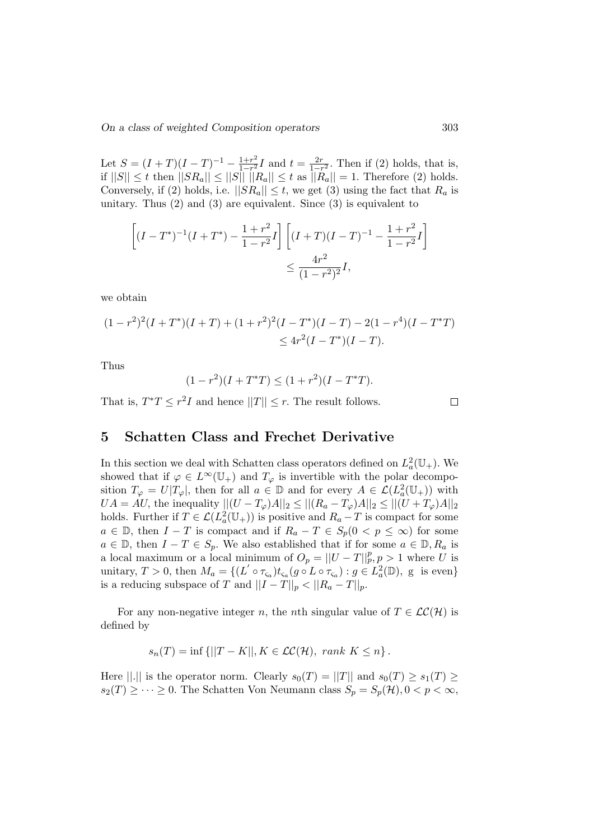Let  $S = (I + T)(I - T)^{-1} - \frac{1+r^2}{1-r^2}$  $\frac{1+r^2}{1-r^2}I$  and  $t=\frac{2r}{1-r^2}$  $\frac{2r}{1-r^2}$ . Then if (2) holds, that is, if  $||S|| \le t$  then  $||SR_a|| \le ||S|| \t ||Ra|| \le t$  as  $||R_a|| = 1$ . Therefore (2) holds. Conversely, if (2) holds, i.e.  $||SR_a|| \leq t$ , we get (3) using the fact that  $R_a$  is unitary. Thus  $(2)$  and  $(3)$  are equivalent. Since  $(3)$  is equivalent to

$$
\left[ (I - T^*)^{-1} (I + T^*) - \frac{1 + r^2}{1 - r^2} I \right] \left[ (I + T)(I - T)^{-1} - \frac{1 + r^2}{1 - r^2} I \right]
$$
  

$$
\leq \frac{4r^2}{(1 - r^2)^2} I,
$$

we obtain

$$
(1 - r2)2(I + T*)(I + T) + (1 + r2)2(I - T*)(I - T) - 2(1 - r4)(I - T*T) \le 4r2(I - T*)(I - T).
$$

Thus

$$
(1 - r2)(I + T*T) \le (1 + r2)(I - T*T).
$$

That is,  $T^*T \leq r^2I$  and hence  $||T|| \leq r$ . The result follows.

 $\Box$ 

#### 5 Schatten Class and Frechet Derivative

In this section we deal with Schatten class operators defined on  $L^2_a(\mathbb{U}_+)$ . We showed that if  $\varphi \in L^{\infty}(\mathbb{U}_{+})$  and  $T_{\varphi}$  is invertible with the polar decomposition  $T_{\varphi} = U|T_{\varphi}|$ , then for all  $a \in \mathbb{D}$  and for every  $A \in \mathcal{L}(L_a^2(\mathbb{U}_+))$  with  $UA = AU$ , the inequality  $||(U - T_{\varphi})A||_2 \leq ||(R_a - T_{\varphi})A||_2 \leq ||(U + T_{\varphi})A||_2$ holds. Further if  $T \in \mathcal{L}(L_a^2(\mathbb{U}_+))$  is positive and  $R_a - T$  is compact for some  $a \in \mathbb{D}$ , then  $I - T$  is compact and if  $R_a - T \in S_p(0 \lt p \leq \infty)$  for some  $a \in \mathbb{D}$ , then  $I - T \in S_p$ . We also established that if for some  $a \in \mathbb{D}$ ,  $R_a$  is a local maximum or a local minimum of  $O_p = ||U - T||_p^p, p > 1$  where U is unitary,  $T > 0$ , then  $M_a = \{ (L' \circ \tau_{\varsigma_a}) t_{\varsigma_a}(g \circ L \circ \tau_{\varsigma_a}) : g \in L_a^2(\mathbb{D})$ , g is even is a reducing subspace of T and  $||I - T||_p < ||R_a - T||_p$ .

For any non-negative integer n, the nth singular value of  $T \in \mathcal{LC}(\mathcal{H})$  is defined by

$$
s_n(T) = \inf \{ ||T - K||, K \in \mathcal{LC}(\mathcal{H}), \ rank K \leq n \}.
$$

Here  $||.||$  is the operator norm. Clearly  $s_0(T) = ||T||$  and  $s_0(T) \geq s_1(T) \geq$  $s_2(T) \geq \cdots \geq 0$ . The Schatten Von Neumann class  $S_p = S_p(\mathcal{H}), 0 < p < \infty$ ,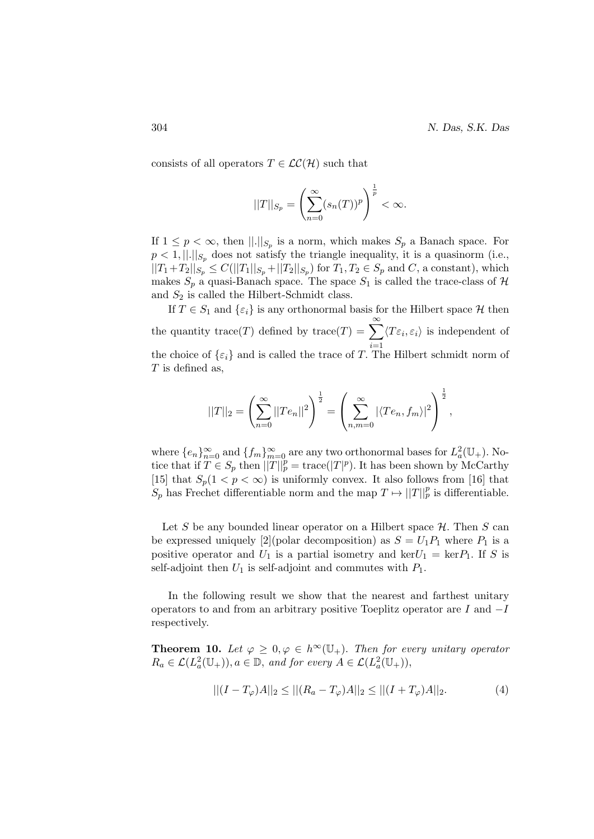consists of all operators  $T \in \mathcal{LC}(\mathcal{H})$  such that

$$
||T||_{S_p} = \left(\sum_{n=0}^{\infty} (s_n(T))^p\right)^{\frac{1}{p}} < \infty.
$$

If  $1 \leq p < \infty$ , then  $\lVert . \rVert_{S_p}$  is a norm, which makes  $S_p$  a Banach space. For  $p < 1, \dots, \infty$  does not satisfy the triangle inequality, it is a quasinorm (i.e.,  $||T_1+T_2||_{S_p} \leq C(||T_1||_{S_p} + ||T_2||_{S_p})$  for  $T_1, T_2 \in S_p$  and  $C$ , a constant), which makes  $S_p$  a quasi-Banach space. The space  $S_1$  is called the trace-class of  $\mathcal H$ and  $S_2$  is called the Hilbert-Schmidt class.

If  $T \in S_1$  and  $\{\varepsilon_i\}$  is any orthonormal basis for the Hilbert space  $\mathcal H$  then the quantity trace(T) defined by trace(T) =  $\sum_{i=1}^{\infty} \langle T\varepsilon_i, \varepsilon_i \rangle$  is independent of the choice of  $\{\varepsilon_i\}$  and is called the trace of T. The Hilbert schmidt norm of  $T$  is defined as,

$$
||T||_2 = \left(\sum_{n=0}^{\infty} ||Te_n||^2\right)^{\frac{1}{2}} = \left(\sum_{n,m=0}^{\infty} |\langle Te_n, f_m \rangle|^2\right)^{\frac{1}{2}},
$$

where  $\{e_n\}_{n=0}^{\infty}$  and  $\{f_m\}_{m=0}^{\infty}$  are any two orthonormal bases for  $L^2_a(\mathbb{U}_+)$ . Notice that if  $T \in S_p$  then  $||T||_p^p = \text{trace}(|T|^p)$ . It has been shown by McCarthy [15] that  $S_p(1 < p < \infty)$  is uniformly convex. It also follows from [16] that  $S_p$  has Frechet differentiable norm and the map  $T \mapsto ||T||_p^p$  is differentiable.

Let S be any bounded linear operator on a Hilbert space  $\mathcal{H}$ . Then S can be expressed uniquely [2](polar decomposition) as  $S = U_1 P_1$  where  $P_1$  is a positive operator and  $U_1$  is a partial isometry and ker $U_1 = \text{ker} P_1$ . If S is self-adjoint then  $U_1$  is self-adjoint and commutes with  $P_1$ .

In the following result we show that the nearest and farthest unitary operators to and from an arbitrary positive Toeplitz operator are I and −I respectively.

**Theorem 10.** Let  $\varphi \geq 0, \varphi \in h^{\infty}(\mathbb{U}_{+})$ . Then for every unitary operator  $R_a \in \mathcal{L}(L_a^2(\mathbb{U}_+)), a \in \mathbb{D}$ , and for every  $A \in \mathcal{L}(L_a^2(\mathbb{U}_+)),$ 

$$
||(I - T_{\varphi})A||_2 \le ||(R_a - T_{\varphi})A||_2 \le ||(I + T_{\varphi})A||_2.
$$
 (4)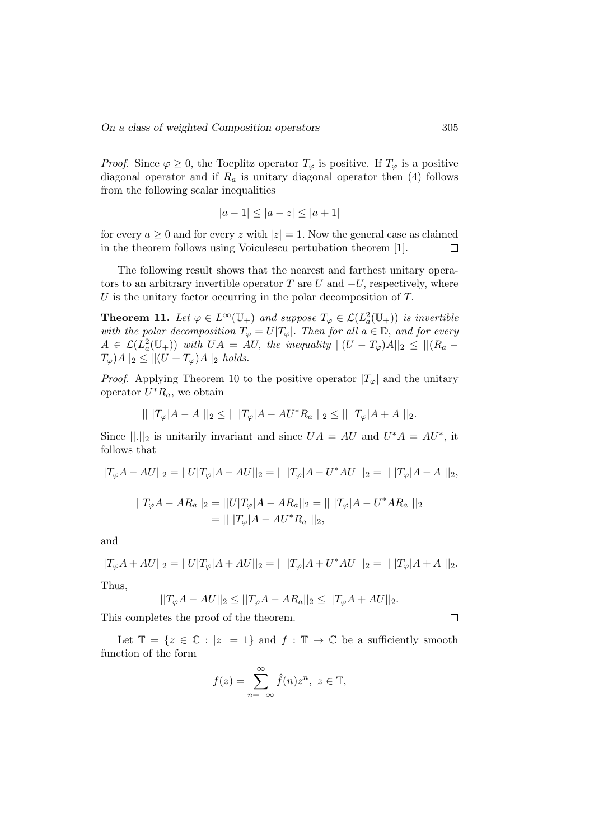*Proof.* Since  $\varphi \geq 0$ , the Toeplitz operator  $T_{\varphi}$  is positive. If  $T_{\varphi}$  is a positive diagonal operator and if  $R_a$  is unitary diagonal operator then  $(4)$  follows from the following scalar inequalities

$$
|a - 1| \le |a - z| \le |a + 1|
$$

for every  $a \geq 0$  and for every z with  $|z| = 1$ . Now the general case as claimed in the theorem follows using Voiculescu pertubation theorem [1].  $\Box$ 

The following result shows that the nearest and farthest unitary operators to an arbitrary invertible operator T are U and  $-U$ , respectively, where  $U$  is the unitary factor occurring in the polar decomposition of  $T$ .

**Theorem 11.** Let  $\varphi \in L^{\infty}(\mathbb{U}_{+})$  and suppose  $T_{\varphi} \in \mathcal{L}(L^{2}_{a}(\mathbb{U}_{+}))$  is invertible with the polar decomposition  $T_{\varphi} = U|T_{\varphi}|$ . Then for all  $a \in \mathbb{D}$ , and for every  $A \in \mathcal{L}(L_a^2(\mathbb{U}_+))$  with  $UA = AU$ , the inequality  $||(U - T_{\varphi})A||_2 \leq ||(R_a T_{\varphi})A||_2 \leq ||(U+T_{\varphi})A||_2$  holds.

*Proof.* Applying Theorem 10 to the positive operator  $|T_{\varphi}|$  and the unitary operator  $U^*R_a$ , we obtain

$$
|| |T_{\varphi}|A - A ||_2 \le || |T_{\varphi}|A - AU^* R_a ||_2 \le || |T_{\varphi}|A + A ||_2.
$$

Since  $\|\cdot\|_2$  is unitarily invariant and since  $UA = AU$  and  $U^*A = AU^*$ , it follows that

$$
||T_{\varphi}A - AU||_2 = ||U|T_{\varphi}|A - AU||_2 = |||T_{\varphi}|A - U^*AU||_2 = |||T_{\varphi}|A - A||_2,
$$
  

$$
||T_{\varphi}A - AR_a||_2 = ||U|T_{\varphi}|A - AR_a||_2 = |||T_{\varphi}|A - U^*AR_a||_2
$$
  

$$
= |||T_{\varphi}|A - AU^*R_a||_2,
$$

and

$$
||T_{\varphi}A + AU||_2 = ||U|T_{\varphi}|A + AU||_2 = |||T_{\varphi}|A + U^*AU||_2 = |||T_{\varphi}|A + A||_2.
$$
  
Thus,

$$
||T_{\varphi}A-AU||_2\leq ||T_{\varphi}A-AR_a||_2\leq ||T_{\varphi}A+AU||_2.
$$

This completes the proof of the theorem.

Let  $\mathbb{T} = \{z \in \mathbb{C} : |z| = 1\}$  and  $f : \mathbb{T} \to \mathbb{C}$  be a sufficiently smooth function of the form

$$
f(z) = \sum_{n = -\infty}^{\infty} \hat{f}(n) z^n, \ z \in \mathbb{T},
$$

 $\Box$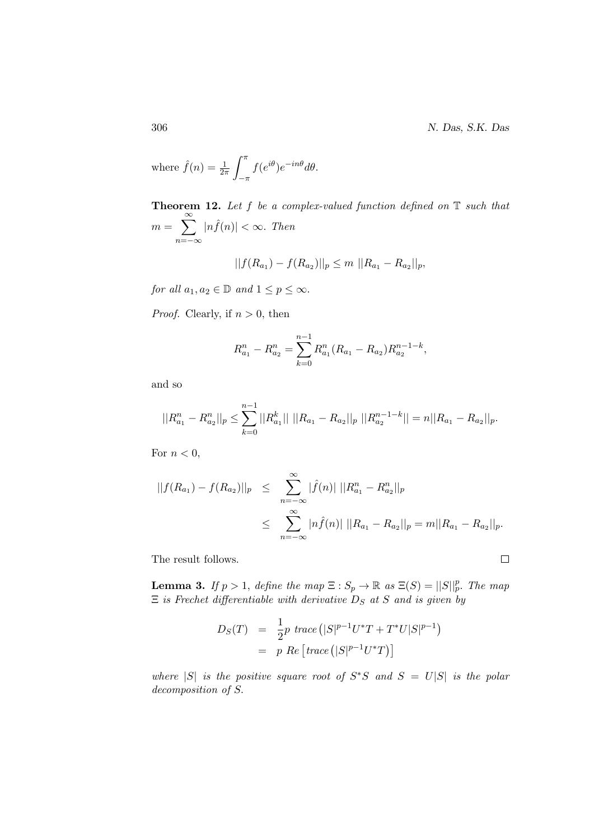306 N. Das, S.K. Das

 $\Box$ 

where 
$$
\hat{f}(n) = \frac{1}{2\pi} \int_{-\pi}^{\pi} f(e^{i\theta}) e^{-in\theta} d\theta
$$
.

**Theorem 12.** Let  $f$  be a complex-valued function defined on  $\mathbb T$  such that  $m = \sum_{n=1}^{\infty}$  $n=-\infty$  $|n \hat{f}(n)| < \infty$ . Then

$$
||f(R_{a_1}) - f(R_{a_2})||_p \le m ||R_{a_1} - R_{a_2}||_p,
$$

for all  $a_1, a_2 \in \mathbb{D}$  and  $1 \leq p \leq \infty$ .

*Proof.* Clearly, if  $n > 0$ , then

$$
R_{a_1}^n - R_{a_2}^n = \sum_{k=0}^{n-1} R_{a_1}^n (R_{a_1} - R_{a_2}) R_{a_2}^{n-1-k},
$$

and so

$$
||R_{a_1}^n - R_{a_2}^n||_p \le \sum_{k=0}^{n-1} ||R_{a_1}^k|| \, ||R_{a_1} - R_{a_2}||_p \, ||R_{a_2}^{n-1-k}|| = n||R_{a_1} - R_{a_2}||_p.
$$

For  $n < 0$ ,

$$
||f(R_{a_1}) - f(R_{a_2})||_p \leq \sum_{n=-\infty}^{\infty} |\hat{f}(n)| ||R_{a_1}^n - R_{a_2}^n||_p
$$
  

$$
\leq \sum_{n=-\infty}^{\infty} |n\hat{f}(n)| ||R_{a_1} - R_{a_2}||_p = m||R_{a_1} - R_{a_2}||_p.
$$

The result follows.

**Lemma 3.** If  $p > 1$ , define the map  $\Xi : S_p \to \mathbb{R}$  as  $\Xi(S) = ||S||_p^p$ . The map  $\Xi$  is Frechet differentiable with derivative  $D_S$  at S and is given by

$$
D_S(T) = \frac{1}{2}p \ trace ([S]^{p-1}U^*T + T^*U|S|^{p-1})
$$
  
= p Re [trace ([S]^{p-1}U^\*T)]

where  $|S|$  is the positive square root of  $S^*S$  and  $S = U|S|$  is the polar decomposition of S.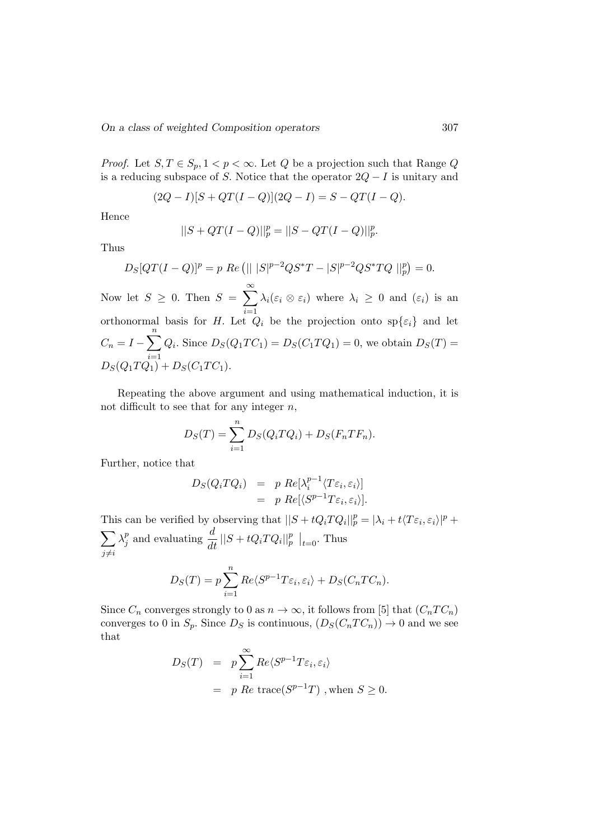*Proof.* Let  $S, T \in S_p, 1 < p < \infty$ . Let Q be a projection such that Range Q is a reducing subspace of S. Notice that the operator  $2Q - I$  is unitary and

$$
(2Q - I)[S + QT(I - Q)](2Q - I) = S - QT(I - Q).
$$

Hence

$$
||S + QT(I - Q)||_p^p = ||S - QT(I - Q)||_p^p.
$$

Thus

$$
D_S[QT(I-Q)]^p = p \ Re \left( || |S|^{p-2}QS^*T - |S|^{p-2}QS^*TQ ||_p^p \right) = 0.
$$

Now let  $S \geq 0$ . Then  $S = \sum_{i=1}^{\infty} \lambda_i (\varepsilon_i \otimes \varepsilon_i)$  where  $\lambda_i \geq 0$  and  $(\varepsilon_i)$  is an orthonormal basis for H. Let  $Q_i$  be the projection onto  $sp\{\varepsilon_i\}$  and let  $C_n = I - \sum_{n=1}^{n}$  $i=1$  $Q_i$ . Since  $D_S(Q_1TC_1) = D_S(C_1TQ_1) = 0$ , we obtain  $D_S(T) =$  $D_S(Q_1TQ_1) + D_S(C_1TC_1).$ 

Repeating the above argument and using mathematical induction, it is not difficult to see that for any integer  $n$ ,

$$
D_S(T) = \sum_{i=1}^n D_S(Q_i T Q_i) + D_S(F_n T F_n).
$$

Further, notice that

$$
D_S(Q_i T Q_i) = p \ Re[\lambda_i^{p-1} \langle T \varepsilon_i, \varepsilon_i \rangle] = p \ Re[\langle S^{p-1} T \varepsilon_i, \varepsilon_i \rangle].
$$

This can be verified by observing that  $||S+tQ_iTQ_i||_p^p = |\lambda_i+t\langle T\varepsilon_i,\varepsilon_i\rangle|^p +$  $\sum$  $j\neq i$  $\lambda_i^p$  $\frac{p}{j}$  and evaluating  $\frac{d}{dt} ||S + tQ_i TQ_i||_p^p ||_{t=0}$ . Thus

$$
D_S(T) = p \sum_{i=1}^{n} Re \langle S^{p-1} T \varepsilon_i, \varepsilon_i \rangle + D_S(C_n T C_n).
$$

Since  $C_n$  converges strongly to 0 as  $n \to \infty$ , it follows from [5] that  $(C_nTC_n)$ converges to 0 in  $S_p$ . Since  $D_S$  is continuous,  $(D_S(C_nTC_n)) \to 0$  and we see that

$$
D_S(T) = p \sum_{i=1}^{\infty} Re \langle S^{p-1} T \varepsilon_i, \varepsilon_i \rangle
$$
  
= p Re trace $(S^{p-1}T)$ , when  $S \ge 0$ .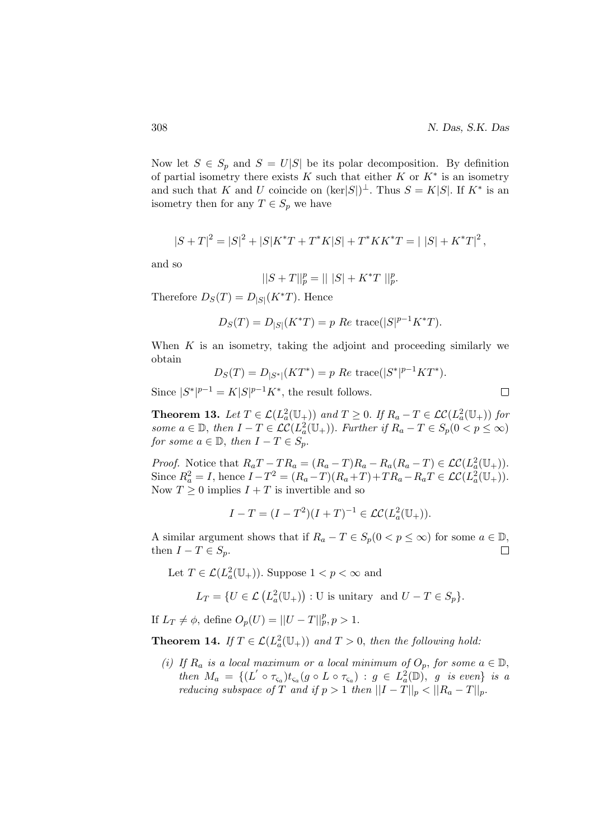$\Box$ 

Now let  $S \in S_p$  and  $S = U|S|$  be its polar decomposition. By definition of partial isometry there exists  $K$  such that either  $K$  or  $K^*$  is an isometry and such that K and U coincide on  $(\text{ker}|S|)^{\perp}$ . Thus  $S = K|S|$ . If  $K^*$  is an isometry then for any  $T \in S_p$  we have

$$
|S+T|^2 = |S|^2 + |S|K^*T + T^*K|S| + T^*KK^*T = |S| + K^*T|^2,
$$

and so

$$
||S + T||_p^p = || |S| + K^*T ||_p^p.
$$

Therefore  $D_S(T) = D_{|S|}(K^*T)$ . Hence

$$
D_S(T) = D_{|S|}(K^*T) = p \ Re \ trace(|S|^{p-1}K^*T).
$$

When  $K$  is an isometry, taking the adjoint and proceeding similarly we obtain

$$
D_S(T) = D_{|S^*|}(KT^*) = p \ Re \ trace(|S^*|^{p-1}KT^*).
$$

Since  $|S^*|^{p-1} = K|S|^{p-1}K^*$ , the result follows.

**Theorem 13.** Let  $T \in \mathcal{L}(L_a^2(\mathbb{U}_+))$  and  $T \geq 0$ . If  $R_a - T \in \mathcal{L}\mathcal{C}(L_a^2(\mathbb{U}_+))$  for some  $a \in \mathbb{D}$ , then  $I - T \in \mathcal{LC}(L_a^2(\mathbb{U}_+))$ . Further if  $R_a - T \in S_p(0 < p \leq \infty)$ for some  $a \in \mathbb{D}$ , then  $I - T \in S_p$ .

*Proof.* Notice that  $R_aT - TR_a = (R_a - T)R_a - R_a(R_a - T) \in \mathcal{LC}(L_a^2(\mathbb{U}_+)).$ Since  $R_a^2 = I$ , hence  $I - T^2 = (R_a - T)(R_a + T) + TR_a - R_aT \in \mathcal{LC}(L_a^2(\mathbb{U}_+)).$ Now  $T \geq 0$  implies  $I + T$  is invertible and so

$$
I - T = (I - T^2)(I + T)^{-1} \in \mathcal{LC}(L^2_a(\mathbb{U}_+)).
$$

A similar argument shows that if  $R_a - T \in S_p(0 < p \leq \infty)$  for some  $a \in \mathbb{D}$ , then  $I - T \in S_p$ .  $\Box$ 

Let  $T \in \mathcal{L}(L_a^2(\mathbb{U}_+))$ . Suppose  $1 < p < \infty$  and

$$
L_T = \{ U \in \mathcal{L} \left( L_a^2(\mathbb{U}_+) \right) : U \text{ is unitary and } U - T \in S_p \}.
$$

If  $L_T \neq \phi$ , define  $O_p(U) = ||U - T||_p^p, p > 1$ .

**Theorem 14.** If  $T \in \mathcal{L}(L_a^2(\mathbb{U}_+))$  and  $T > 0$ , then the following hold:

(i) If  $R_a$  is a local maximum or a local minimum of  $O_p$ , for some  $a \in \mathbb{D}$ , then  $M_a = \{ (L' \circ \tau_{\varsigma_a})_{t_{\varsigma_a}} (g \circ L \circ \tau_{\varsigma_a}) : g \in L_a^2(\mathbb{D}), g \text{ is even} \}$  is a reducing subspace of T and if  $p > 1$  then  $||I - T||_p < ||R_a - T||_p$ .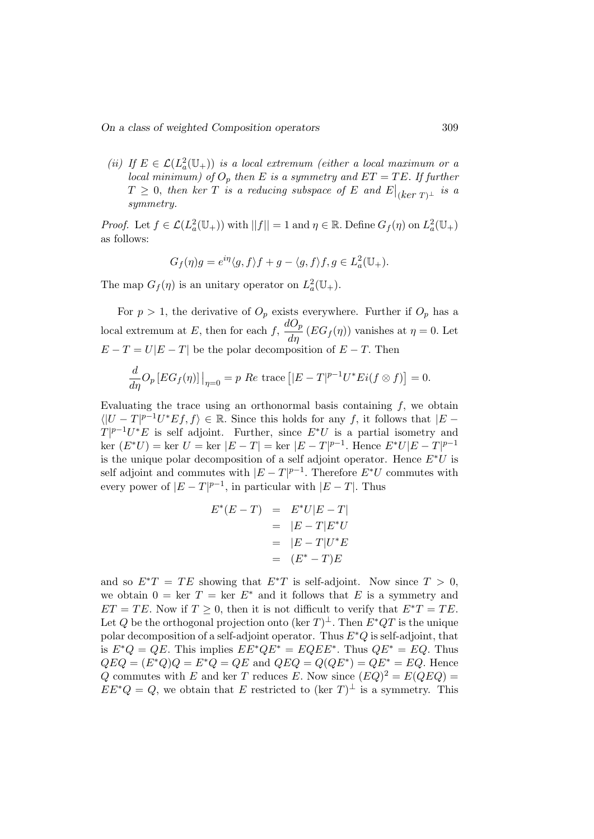(ii) If  $E \in \mathcal{L}(L_a^2(\mathbb{U}_+))$  is a local extremum (either a local maximum or a local minimum) of  $O_p$  then E is a symmetry and  $ET = TE$ . If further  $T \geq 0,$  then ker  $T$  is a reducing subspace of  $E$  and  $E\big|_{(ker\ T)^{\bot}}$  is a symmetry.

*Proof.* Let  $f \in \mathcal{L}(L_a^2(\mathbb{U}_+))$  with  $||f|| = 1$  and  $\eta \in \mathbb{R}$ . Define  $G_f(\eta)$  on  $L_a^2(\mathbb{U}_+)$ as follows:

$$
G_f(\eta)g = e^{i\eta} \langle g, f \rangle f + g - \langle g, f \rangle f, g \in L^2_a(\mathbb{U}_+).
$$

The map  $G_f(\eta)$  is an unitary operator on  $L^2_a(\mathbb{U}_+).$ 

For  $p > 1$ , the derivative of  $O_p$  exists everywhere. Further if  $O_p$  has a local extremum at E, then for each f,  $\frac{dO_p}{d\eta}$  (EGf(n)) vanishes at  $\eta = 0$ . Let  $E - T = U|E - T|$  be the polar decomposition of  $E - T$ . Then

$$
\frac{d}{d\eta}O_p\left[EG_f(\eta)\right]\big|_{\eta=0} = p\ Re\ \text{trace}\left[|E-T|^{p-1}U^*Ei(f\otimes f)\right] = 0.
$$

Evaluating the trace using an orthonormal basis containing  $f$ , we obtain  $\langle |U-T|^{p-1}U^*Ef, f \rangle \in \mathbb{R}$ . Since this holds for any f, it follows that  $|E T|^{p-1}U^*E$  is self adjoint. Further, since  $E^*U$  is a partial isometry and  $\ker (E^*U) = \ker U = \ker |E - T| = \ker |E - T|^{p-1}$ . Hence  $E^*U|E - T|^{p-1}$ is the unique polar decomposition of a self adjoint operator. Hence  $E^*U$  is self adjoint and commutes with  $|E-T|^{p-1}$ . Therefore  $E^*U$  commutes with every power of  $|E-T|^{p-1}$ , in particular with  $|E-T|$ . Thus

$$
E^*(E - T) = E^*U|E - T|
$$
  
= |E - T|E^\*U  
= |E - T|U^\*E  
= (E^\* - T)E

and so  $E^*T = TE$  showing that  $E^*T$  is self-adjoint. Now since  $T > 0$ , we obtain  $0 = \text{ker } T = \text{ker } E^*$  and it follows that E is a symmetry and  $ET = TE$ . Now if  $T \geq 0$ , then it is not difficult to verify that  $E^*T = TE$ . Let Q be the orthogonal projection onto (ker  $T)^{\perp}$ . Then  $E^*QT$  is the unique polar decomposition of a self-adjoint operator. Thus  $E^*Q$  is self-adjoint, that is  $E^*Q = QE$ . This implies  $EE^*QE^* = EQEE^*$ . Thus  $QE^* = EQ$ . Thus  $QEQ = (E^*Q)Q = E^*Q = QE$  and  $QEQ = Q(QE^*) = QE^* = EQ$ . Hence Q commutes with E and ker T reduces E. Now since  $(EQ)^2 = E(QEQ)$  $EE^*Q = Q$ , we obtain that E restricted to (ker T)<sup> $\perp$ </sup> is a symmetry. This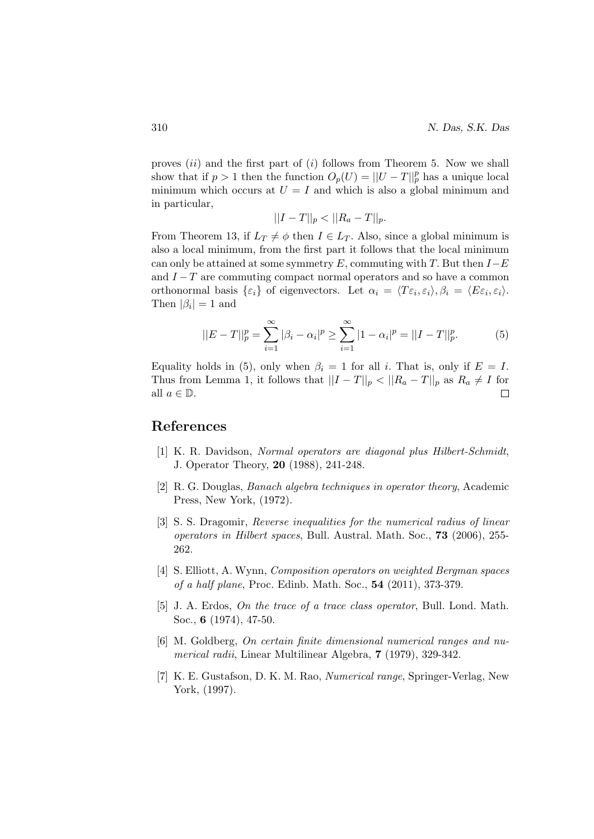proves  $(ii)$  and the first part of  $(i)$  follows from Theorem 5. Now we shall show that if  $p > 1$  then the function  $O_p(U) = ||U - T||_p^p$  has a unique local minimum which occurs at  $U = I$  and which is also a global minimum and in particular,

$$
||I - T||_p < ||R_a - T||_p.
$$

From Theorem 13, if  $L_T \neq \phi$  then  $I \in L_T$ . Also, since a global minimum is also a local minimum, from the first part it follows that the local minimum can only be attained at some symmetry E, commuting with T. But then  $I-E$ and  $I-T$  are commuting compact normal operators and so have a common orthonormal basis  $\{\varepsilon_i\}$  of eigenvectors. Let  $\alpha_i = \langle T\varepsilon_i, \varepsilon_i \rangle, \beta_i = \langle E\varepsilon_i, \varepsilon_i \rangle$ . Then  $|\beta_i|=1$  and

$$
||E - T||_p^p = \sum_{i=1}^{\infty} |\beta_i - \alpha_i|^p \ge \sum_{i=1}^{\infty} |1 - \alpha_i|^p = ||I - T||_p^p.
$$
 (5)

Equality holds in (5), only when  $\beta_i = 1$  for all i. That is, only if  $E = I$ . Thus from Lemma 1, it follows that  $||I - T||_p < ||R_a - T||_p$  as  $R_a \neq I$  for all  $a \in \mathbb{D}$ .  $\Box$ 

#### References

- [1] K. R. Davidson, Normal operators are diagonal plus Hilbert-Schmidt, J. Operator Theory, 20 (1988), 241-248.
- [2] R. G. Douglas, Banach algebra techniques in operator theory, Academic Press, New York, (1972).
- [3] S. S. Dragomir, Reverse inequalities for the numerical radius of linear operators in Hilbert spaces, Bull. Austral. Math. Soc., 73 (2006), 255- 262.
- [4] S. Elliott, A. Wynn, Composition operators on weighted Bergman spaces of a half plane, Proc. Edinb. Math. Soc., 54 (2011), 373-379.
- [5] J. A. Erdos, On the trace of a trace class operator, Bull. Lond. Math. Soc., 6 (1974), 47-50.
- [6] M. Goldberg, On certain finite dimensional numerical ranges and numerical radii, Linear Multilinear Algebra, 7 (1979), 329-342.
- [7] K. E. Gustafson, D. K. M. Rao, Numerical range, Springer-Verlag, New York, (1997).